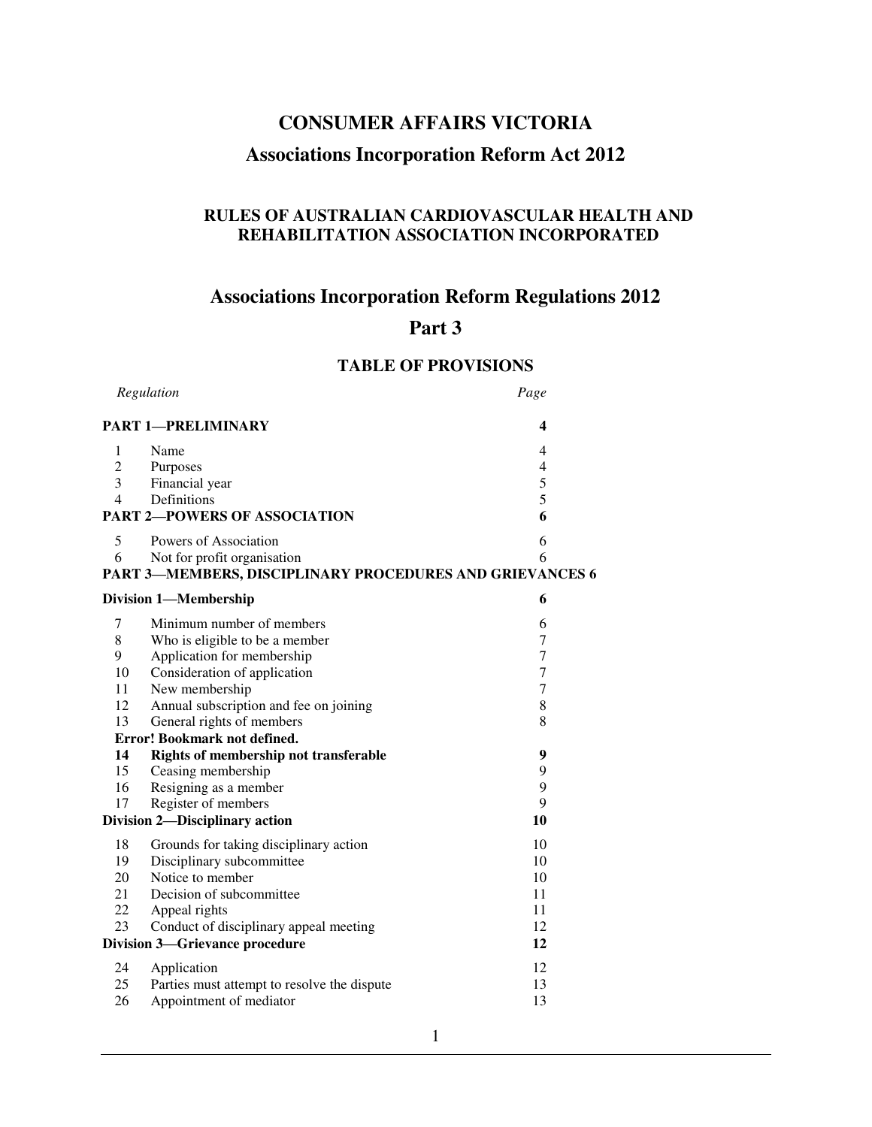# **CONSUMER AFFAIRS VICTORIA**

# **Associations Incorporation Reform Act 2012**

# **RULES OF AUSTRALIAN CARDIOVASCULAR HEALTH AND REHABILITATION ASSOCIATION INCORPORATED**

# **Associations Incorporation Reform Regulations 2012**

# **Part 3**

# **TABLE OF PROVISIONS**

| Regulation                            |                                                          | Page             |
|---------------------------------------|----------------------------------------------------------|------------------|
|                                       | <b>PART 1-PRELIMINARY</b>                                | 4                |
| 1                                     | Name                                                     | 4                |
| $\overline{2}$                        | Purposes                                                 | $\overline{4}$   |
| 3                                     | Financial year                                           | 5                |
| 4                                     | Definitions                                              | 5                |
| <b>PART 2-POWERS OF ASSOCIATION</b>   | 6                                                        |                  |
| 5                                     | Powers of Association                                    | 6                |
| 6                                     | Not for profit organisation                              | 6                |
|                                       | PART 3-MEMBERS, DISCIPLINARY PROCEDURES AND GRIEVANCES 6 |                  |
|                                       | <b>Division 1-Membership</b>                             | 6                |
| 7                                     | Minimum number of members                                | 6                |
| $\,$ 8 $\,$                           | Who is eligible to be a member                           | 7                |
| 9                                     | Application for membership                               | $\tau$           |
| 10                                    | Consideration of application                             | $\boldsymbol{7}$ |
| 11                                    | New membership                                           | $\tau$           |
| 12                                    | Annual subscription and fee on joining                   | $\,8\,$          |
| 13                                    | General rights of members                                | 8                |
|                                       | Error! Bookmark not defined.                             |                  |
| 14                                    | Rights of membership not transferable                    | 9                |
| 15                                    | Ceasing membership                                       | 9                |
| 16                                    | Resigning as a member                                    | 9                |
| 17                                    | Register of members                                      | 9                |
|                                       | Division 2-Disciplinary action                           | 10               |
| 18                                    | Grounds for taking disciplinary action                   | 10               |
| 19                                    | Disciplinary subcommittee                                | 10               |
| 20                                    | Notice to member                                         | 10               |
| 21                                    | Decision of subcommittee                                 | 11               |
| 22                                    | Appeal rights                                            | 11               |
| 23                                    | Conduct of disciplinary appeal meeting                   | 12               |
| <b>Division 3-Grievance procedure</b> |                                                          | 12               |
| 24                                    | Application                                              | 12               |
| 25                                    | Parties must attempt to resolve the dispute              | 13               |
| 26                                    | Appointment of mediator                                  | 13               |
|                                       |                                                          |                  |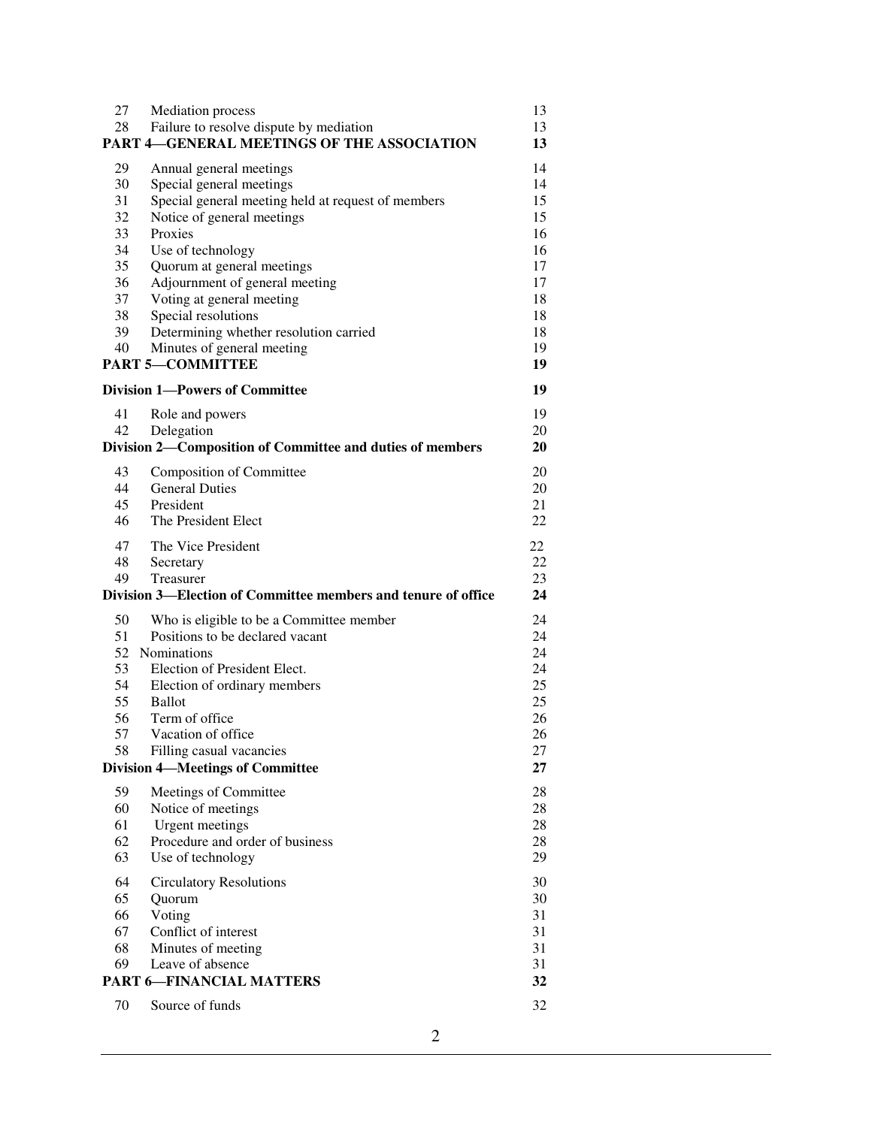| 27 | <b>Mediation</b> process                                      | 13       |
|----|---------------------------------------------------------------|----------|
| 28 | Failure to resolve dispute by mediation                       | 13       |
|    | <b>PART 4-GENERAL MEETINGS OF THE ASSOCIATION</b>             | 13       |
|    |                                                               |          |
| 29 | Annual general meetings                                       | 14       |
| 30 | Special general meetings                                      | 14<br>15 |
| 31 | Special general meeting held at request of members            |          |
| 32 | Notice of general meetings                                    | 15       |
| 33 | Proxies                                                       | 16       |
| 34 | Use of technology                                             | 16       |
| 35 | Quorum at general meetings                                    | 17       |
| 36 | Adjournment of general meeting                                | 17       |
| 37 | Voting at general meeting                                     | 18       |
| 38 | Special resolutions                                           | 18       |
| 39 | Determining whether resolution carried                        | 18       |
| 40 | Minutes of general meeting                                    | 19       |
|    | <b>PART 5-COMMITTEE</b>                                       | 19       |
|    | <b>Division 1-Powers of Committee</b>                         | 19       |
| 41 |                                                               | 19       |
|    | Role and powers                                               |          |
| 42 | Delegation                                                    | 20       |
|    | Division 2-Composition of Committee and duties of members     | 20       |
| 43 | Composition of Committee                                      | 20       |
| 44 | <b>General Duties</b>                                         | 20       |
| 45 | President                                                     | 21       |
| 46 | The President Elect                                           | 22       |
| 47 | The Vice President                                            | 22       |
| 48 | Secretary                                                     | 22       |
| 49 | Treasurer                                                     | 23       |
|    | Division 3—Election of Committee members and tenure of office | 24       |
|    |                                                               |          |
| 50 | Who is eligible to be a Committee member                      | 24       |
| 51 | Positions to be declared vacant                               | 24       |
| 52 | <b>Nominations</b>                                            | 24       |
| 53 | Election of President Elect.                                  | 24       |
| 54 | Election of ordinary members                                  | 25       |
| 55 | <b>Ballot</b>                                                 | 25       |
| 56 | Term of office                                                | 26       |
| 57 | Vacation of office                                            | 26       |
| 58 | Filling casual vacancies                                      | 27       |
|    | <b>Division 4—Meetings of Committee</b>                       | 27       |
| 59 | Meetings of Committee                                         | 28       |
| 60 | Notice of meetings                                            | 28       |
| 61 | <b>Urgent</b> meetings                                        | 28       |
| 62 | Procedure and order of business                               | 28       |
| 63 | Use of technology                                             | 29       |
| 64 | <b>Circulatory Resolutions</b>                                | 30       |
| 65 | Quorum                                                        | 30       |
| 66 | Voting                                                        | 31       |
| 67 | Conflict of interest                                          | 31       |
| 68 | Minutes of meeting                                            | 31       |
| 69 | Leave of absence                                              | 31       |
|    | <b>PART 6-FINANCIAL MATTERS</b>                               | 32       |
| 70 | Source of funds                                               | 32       |
|    |                                                               |          |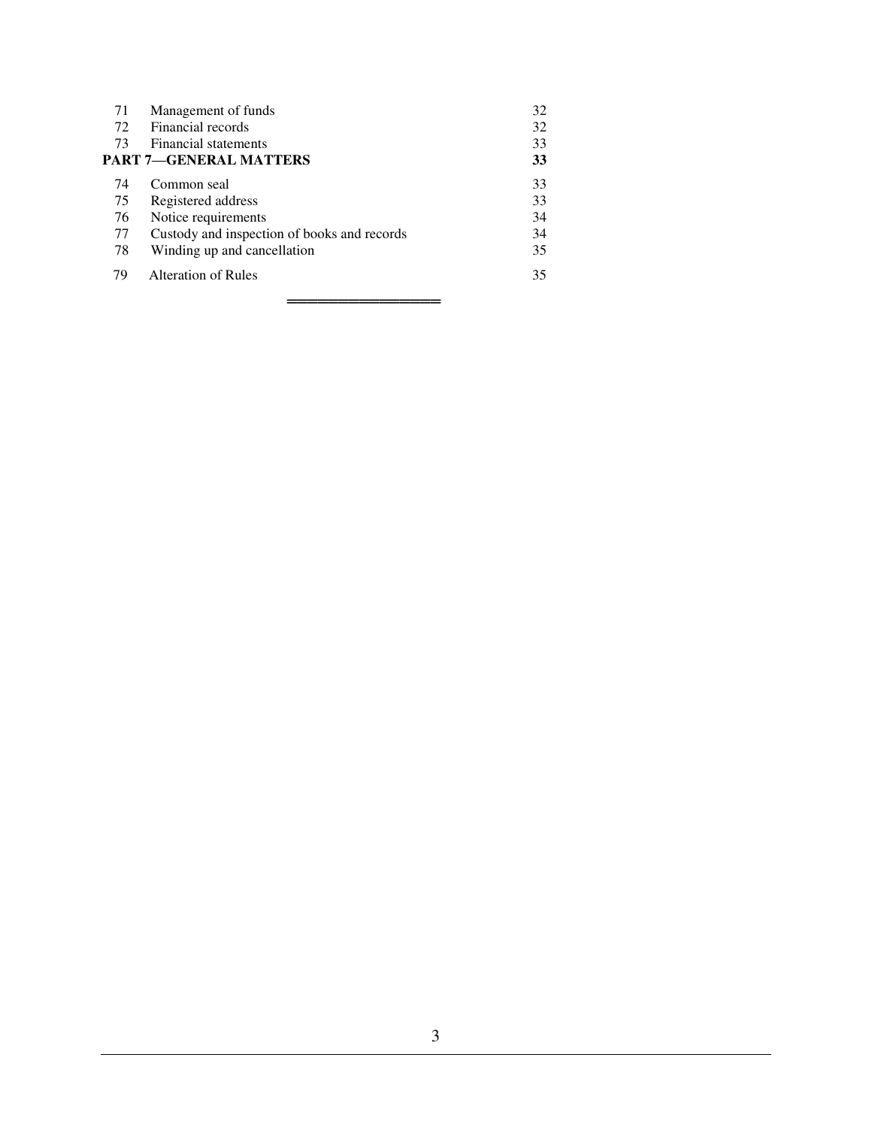| 71 | Management of funds                         | 32 |  |
|----|---------------------------------------------|----|--|
| 72 | Financial records                           | 32 |  |
| 73 | Financial statements                        | 33 |  |
|    | PART 7—GENERAL MATTERS                      | 33 |  |
| 74 | Common seal                                 | 33 |  |
| 75 | Registered address                          | 33 |  |
| 76 | Notice requirements                         | 34 |  |
| 77 | Custody and inspection of books and records | 34 |  |
| 78 | Winding up and cancellation                 | 35 |  |
| 79 | Alteration of Rules                         | 35 |  |
|    |                                             |    |  |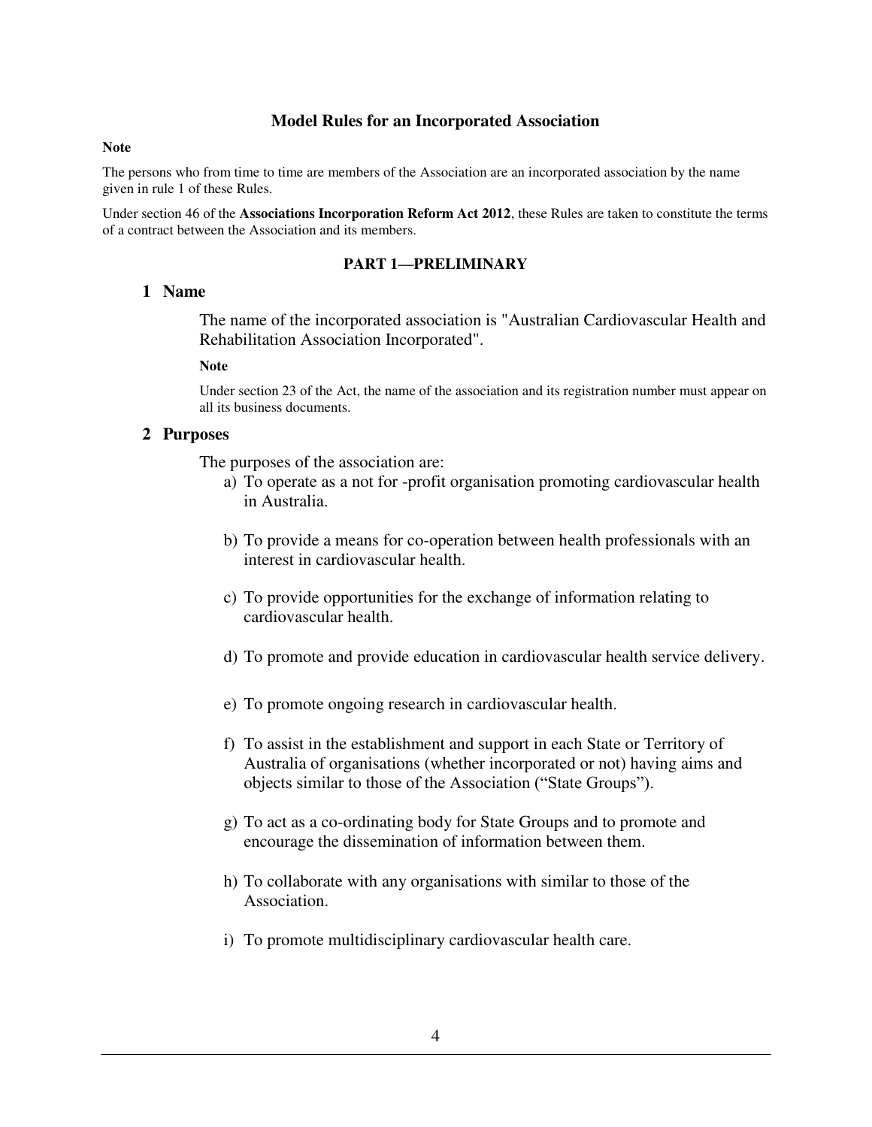### **Model Rules for an Incorporated Association**

#### **Note**

The persons who from time to time are members of the Association are an incorporated association by the name given in rule 1 of these Rules.

Under section 46 of the **Associations Incorporation Reform Act 2012**, these Rules are taken to constitute the terms of a contract between the Association and its members.

#### **PART 1—PRELIMINARY**

### **1 Name**

The name of the incorporated association is "Australian Cardiovascular Health and Rehabilitation Association Incorporated".

#### **Note**

Under section 23 of the Act, the name of the association and its registration number must appear on all its business documents.

### **2 Purposes**

The purposes of the association are:

- a) To operate as a not for -profit organisation promoting cardiovascular health in Australia.
- b) To provide a means for co-operation between health professionals with an interest in cardiovascular health.
- c) To provide opportunities for the exchange of information relating to cardiovascular health.
- d) To promote and provide education in cardiovascular health service delivery.
- e) To promote ongoing research in cardiovascular health.
- f) To assist in the establishment and support in each State or Territory of Australia of organisations (whether incorporated or not) having aims and objects similar to those of the Association ("State Groups").
- g) To act as a co-ordinating body for State Groups and to promote and encourage the dissemination of information between them.
- h) To collaborate with any organisations with similar to those of the Association.
- i) To promote multidisciplinary cardiovascular health care.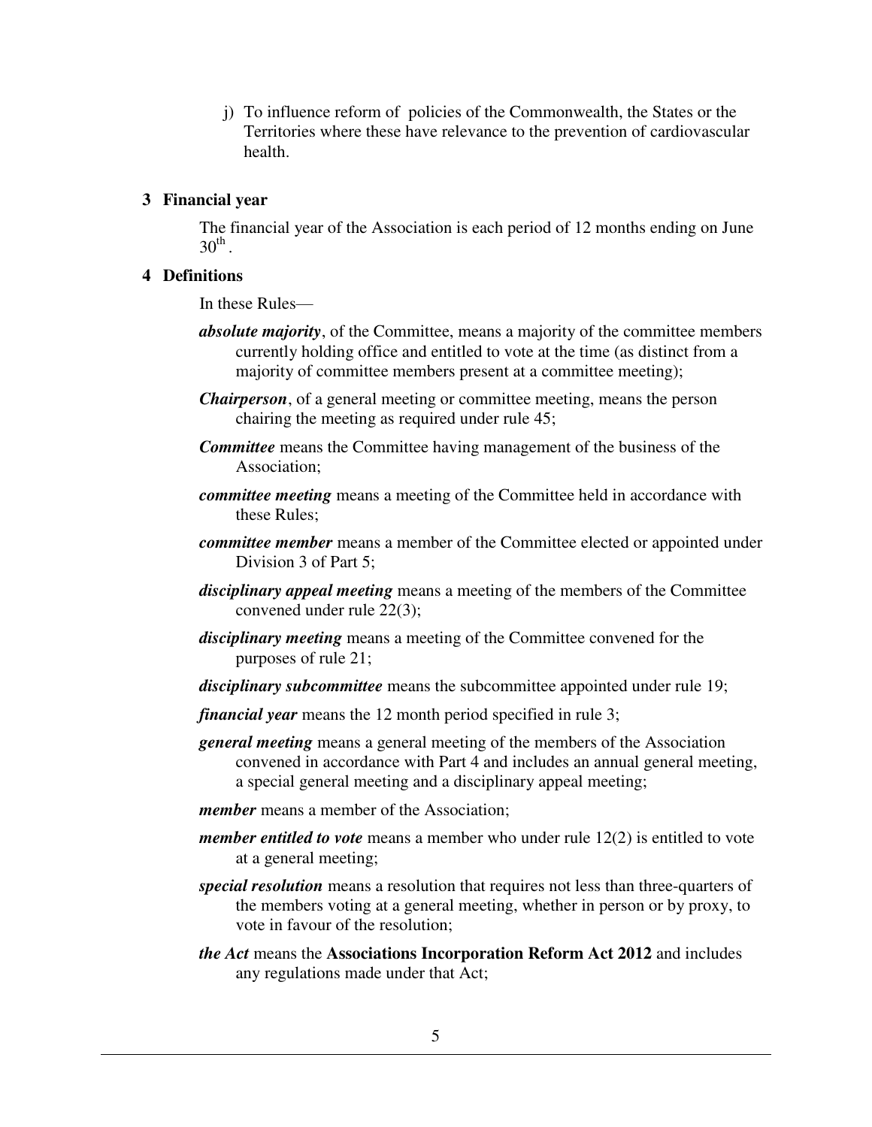j) To influence reform of policies of the Commonwealth, the States or the Territories where these have relevance to the prevention of cardiovascular health.

# **3 Financial year**

The financial year of the Association is each period of 12 months ending on June  $30^{\text{th}}$ .

# **4 Definitions**

In these Rules—

- *absolute majority*, of the Committee, means a majority of the committee members currently holding office and entitled to vote at the time (as distinct from a majority of committee members present at a committee meeting);
- *Chairperson*, of a general meeting or committee meeting, means the person chairing the meeting as required under rule 45;
- *Committee* means the Committee having management of the business of the Association;
- *committee meeting* means a meeting of the Committee held in accordance with these Rules;
- *committee member* means a member of the Committee elected or appointed under Division 3 of Part 5;
- *disciplinary appeal meeting* means a meeting of the members of the Committee convened under rule 22(3);
- *disciplinary meeting* means a meeting of the Committee convened for the purposes of rule 21;
- *disciplinary subcommittee* means the subcommittee appointed under rule 19;
- *financial year* means the 12 month period specified in rule 3;
- *general meeting* means a general meeting of the members of the Association convened in accordance with Part 4 and includes an annual general meeting, a special general meeting and a disciplinary appeal meeting;
- *member* means a member of the Association:
- *member entitled to vote* means a member who under rule 12(2) is entitled to vote at a general meeting;
- *special resolution* means a resolution that requires not less than three-quarters of the members voting at a general meeting, whether in person or by proxy, to vote in favour of the resolution;
- *the Act* means the **Associations Incorporation Reform Act 2012** and includes any regulations made under that Act;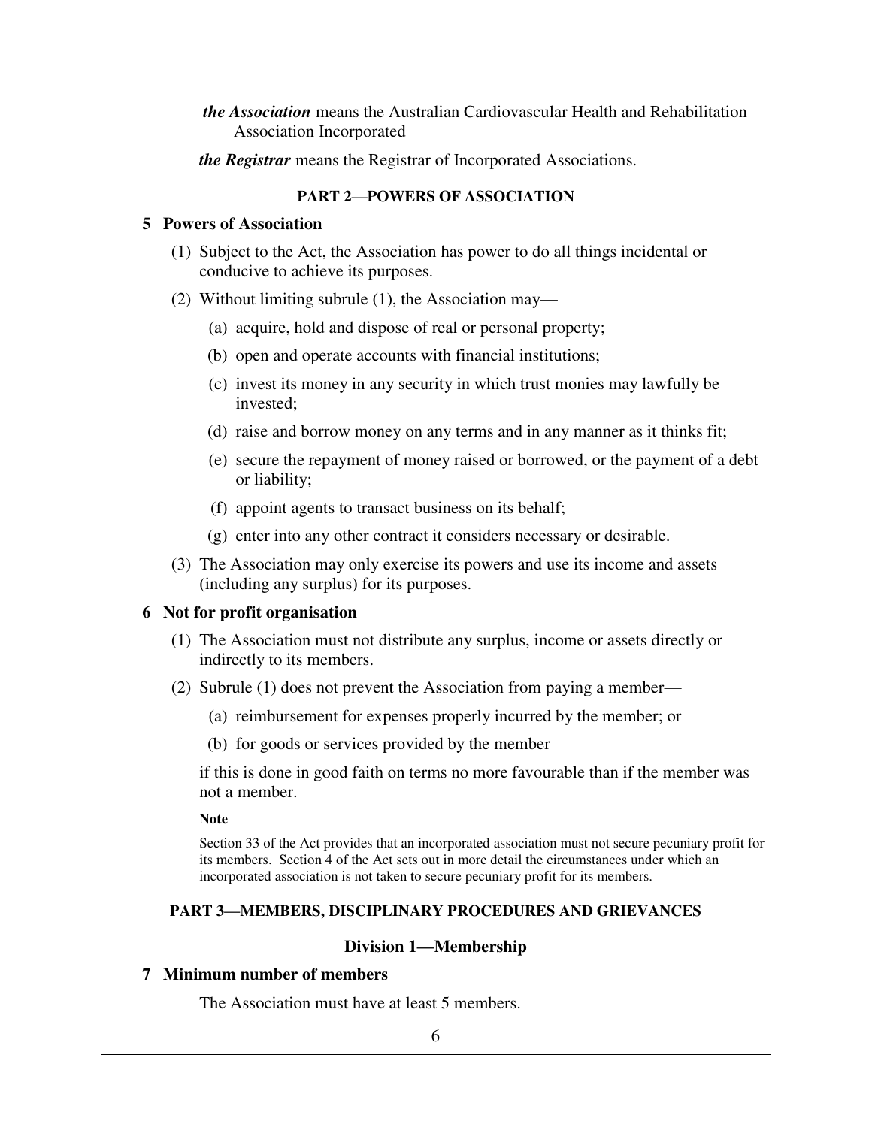- *the Association* means the Australian Cardiovascular Health and Rehabilitation Association Incorporated
- *the Registrar* means the Registrar of Incorporated Associations.

# **PART 2—POWERS OF ASSOCIATION**

### **5 Powers of Association**

- (1) Subject to the Act, the Association has power to do all things incidental or conducive to achieve its purposes.
- (2) Without limiting subrule (1), the Association may—
	- (a) acquire, hold and dispose of real or personal property;
	- (b) open and operate accounts with financial institutions;
	- (c) invest its money in any security in which trust monies may lawfully be invested;
	- (d) raise and borrow money on any terms and in any manner as it thinks fit;
	- (e) secure the repayment of money raised or borrowed, or the payment of a debt or liability;
	- (f) appoint agents to transact business on its behalf;
	- (g) enter into any other contract it considers necessary or desirable.
- (3) The Association may only exercise its powers and use its income and assets (including any surplus) for its purposes.

#### **6 Not for profit organisation**

- (1) The Association must not distribute any surplus, income or assets directly or indirectly to its members.
- (2) Subrule (1) does not prevent the Association from paying a member—
	- (a) reimbursement for expenses properly incurred by the member; or
	- (b) for goods or services provided by the member—

if this is done in good faith on terms no more favourable than if the member was not a member.

**Note** 

Section 33 of the Act provides that an incorporated association must not secure pecuniary profit for its members. Section 4 of the Act sets out in more detail the circumstances under which an incorporated association is not taken to secure pecuniary profit for its members.

# **PART 3—MEMBERS, DISCIPLINARY PROCEDURES AND GRIEVANCES**

# **Division 1—Membership**

# **7 Minimum number of members**

The Association must have at least 5 members.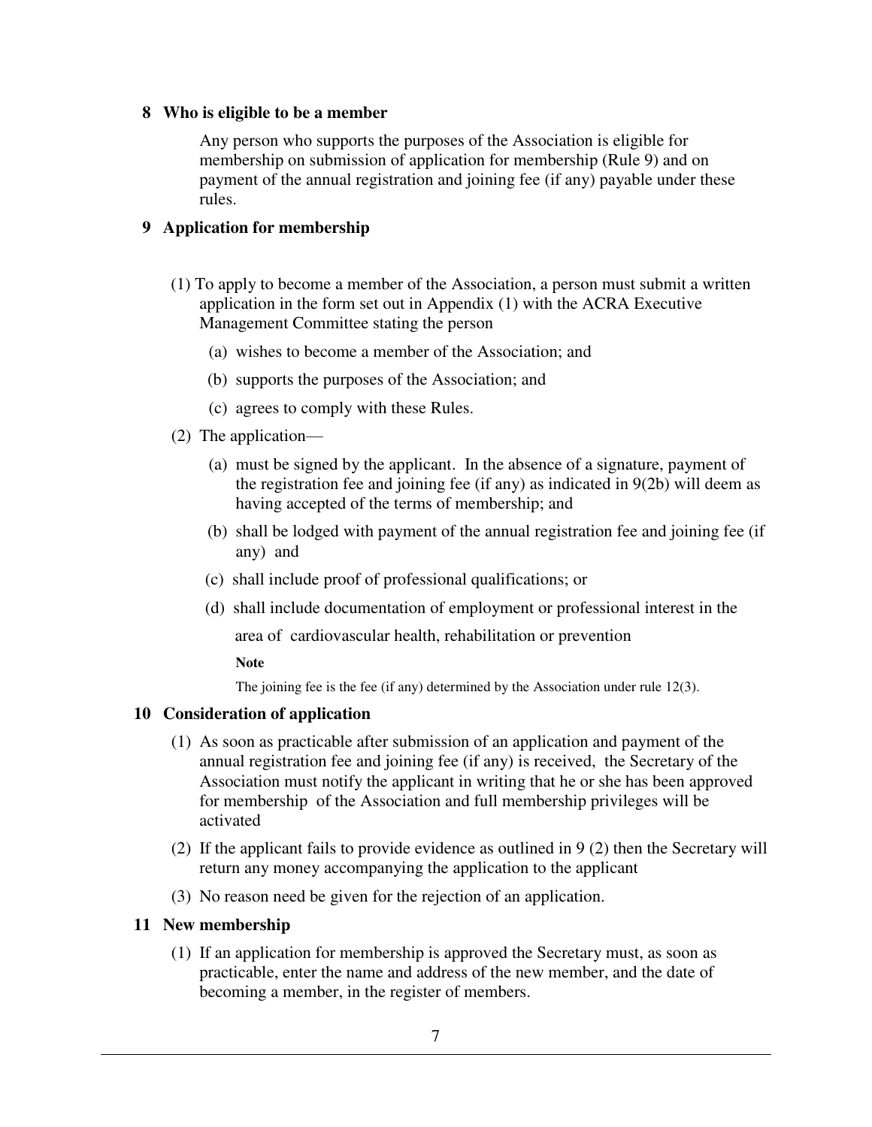# **8 Who is eligible to be a member**

Any person who supports the purposes of the Association is eligible for membership on submission of application for membership (Rule 9) and on payment of the annual registration and joining fee (if any) payable under these rules.

# **9 Application for membership**

- (1) To apply to become a member of the Association, a person must submit a written application in the form set out in Appendix (1) with the ACRA Executive Management Committee stating the person
	- (a) wishes to become a member of the Association; and
	- (b) supports the purposes of the Association; and
	- (c) agrees to comply with these Rules.
- (2) The application—
	- (a) must be signed by the applicant. In the absence of a signature, payment of the registration fee and joining fee (if any) as indicated in 9(2b) will deem as having accepted of the terms of membership; and
	- (b) shall be lodged with payment of the annual registration fee and joining fee (if any) and
	- (c) shall include proof of professional qualifications; or
	- (d) shall include documentation of employment or professional interest in the

area of cardiovascular health, rehabilitation or prevention

**Note** 

The joining fee is the fee (if any) determined by the Association under rule 12(3).

# **10 Consideration of application**

- (1) As soon as practicable after submission of an application and payment of the annual registration fee and joining fee (if any) is received, the Secretary of the Association must notify the applicant in writing that he or she has been approved for membership of the Association and full membership privileges will be activated
- (2) If the applicant fails to provide evidence as outlined in 9 (2) then the Secretary will return any money accompanying the application to the applicant
- (3) No reason need be given for the rejection of an application.

# **11 New membership**

 (1) If an application for membership is approved the Secretary must, as soon as practicable, enter the name and address of the new member, and the date of becoming a member, in the register of members.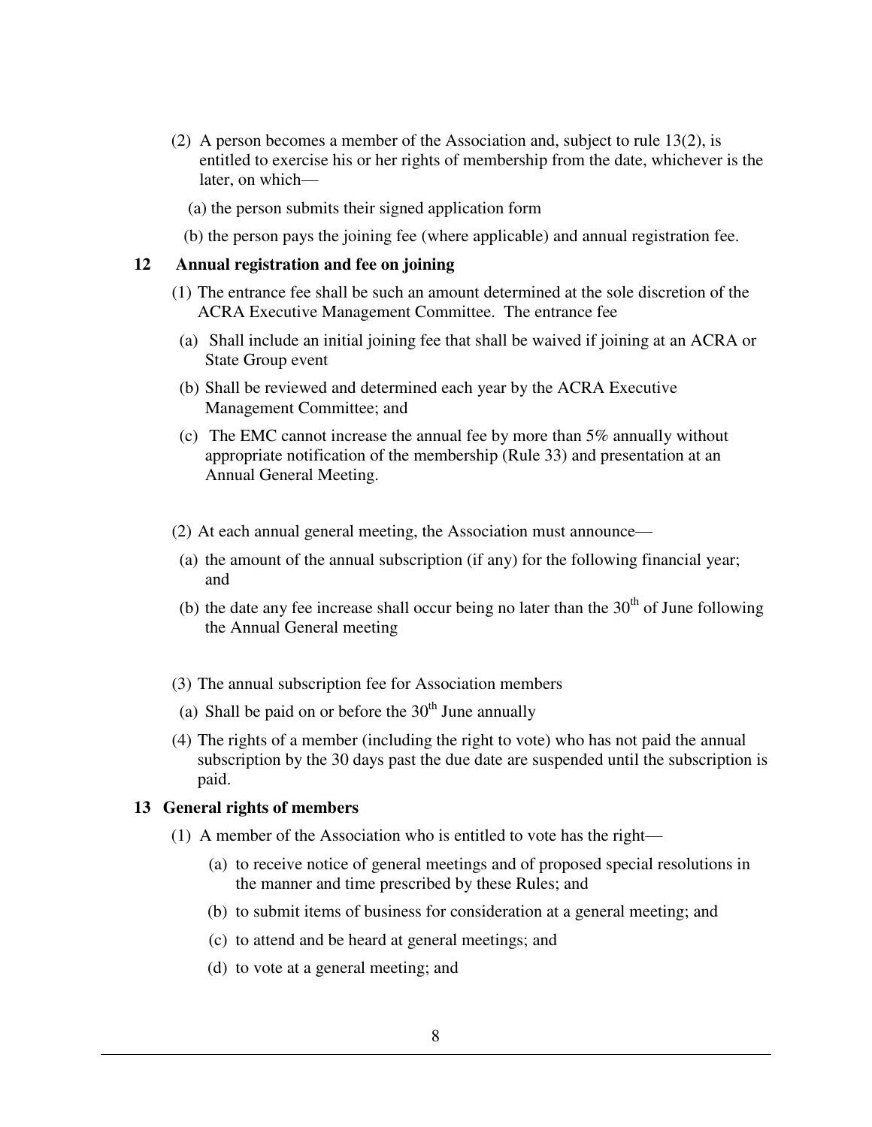- (2) A person becomes a member of the Association and, subject to rule 13(2), is entitled to exercise his or her rights of membership from the date, whichever is the later, on which—
	- (a) the person submits their signed application form
	- (b) the person pays the joining fee (where applicable) and annual registration fee.

### **12 Annual registration and fee on joining**

- (1) The entrance fee shall be such an amount determined at the sole discretion of the ACRA Executive Management Committee. The entrance fee
	- (a) Shall include an initial joining fee that shall be waived if joining at an ACRA or State Group event
	- (b) Shall be reviewed and determined each year by the ACRA Executive Management Committee; and
	- (c) The EMC cannot increase the annual fee by more than  $5\%$  annually without appropriate notification of the membership (Rule 33) and presentation at an Annual General Meeting.
- (2) At each annual general meeting, the Association must announce—
- (a) the amount of the annual subscription (if any) for the following financial year; and
- (b) the date any fee increase shall occur being no later than the  $30<sup>th</sup>$  of June following the Annual General meeting
- (3) The annual subscription fee for Association members
- (a) Shall be paid on or before the  $30<sup>th</sup>$  June annually
- (4) The rights of a member (including the right to vote) who has not paid the annual subscription by the 30 days past the due date are suspended until the subscription is paid.

### **13 General rights of members**

- (1) A member of the Association who is entitled to vote has the right—
	- (a) to receive notice of general meetings and of proposed special resolutions in the manner and time prescribed by these Rules; and
	- (b) to submit items of business for consideration at a general meeting; and
	- (c) to attend and be heard at general meetings; and
	- (d) to vote at a general meeting; and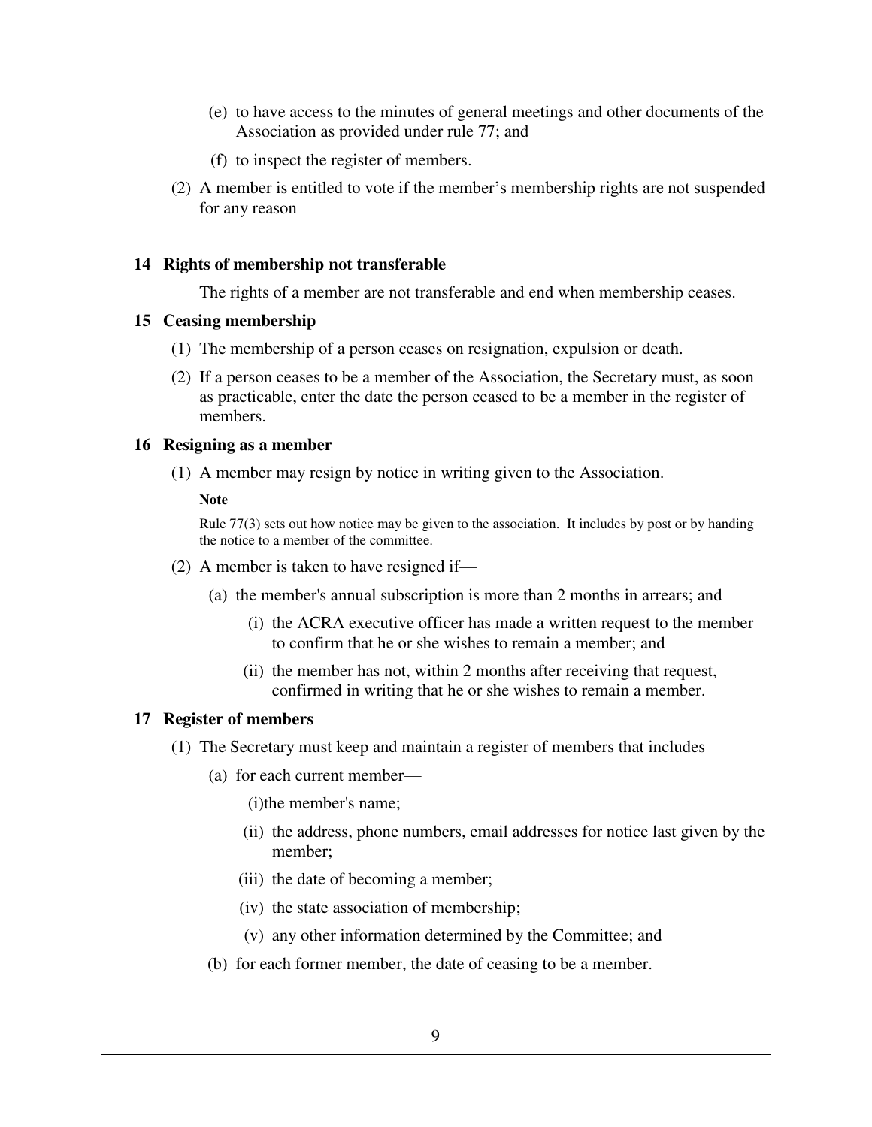- (e) to have access to the minutes of general meetings and other documents of the Association as provided under rule 77; and
- (f) to inspect the register of members.
- (2) A member is entitled to vote if the member's membership rights are not suspended for any reason

### **14 Rights of membership not transferable**

The rights of a member are not transferable and end when membership ceases.

### **15 Ceasing membership**

- (1) The membership of a person ceases on resignation, expulsion or death.
- (2) If a person ceases to be a member of the Association, the Secretary must, as soon as practicable, enter the date the person ceased to be a member in the register of members.

#### **16 Resigning as a member**

(1) A member may resign by notice in writing given to the Association.

#### **Note**

Rule 77(3) sets out how notice may be given to the association. It includes by post or by handing the notice to a member of the committee.

- (2) A member is taken to have resigned if—
	- (a) the member's annual subscription is more than 2 months in arrears; and
		- (i) the ACRA executive officer has made a written request to the member to confirm that he or she wishes to remain a member; and
		- (ii) the member has not, within 2 months after receiving that request, confirmed in writing that he or she wishes to remain a member.

### **17 Register of members**

- (1) The Secretary must keep and maintain a register of members that includes—
	- (a) for each current member—
		- (i)the member's name;
		- (ii) the address, phone numbers, email addresses for notice last given by the member;
		- (iii) the date of becoming a member;
		- (iv) the state association of membership;
		- (v) any other information determined by the Committee; and
	- (b) for each former member, the date of ceasing to be a member.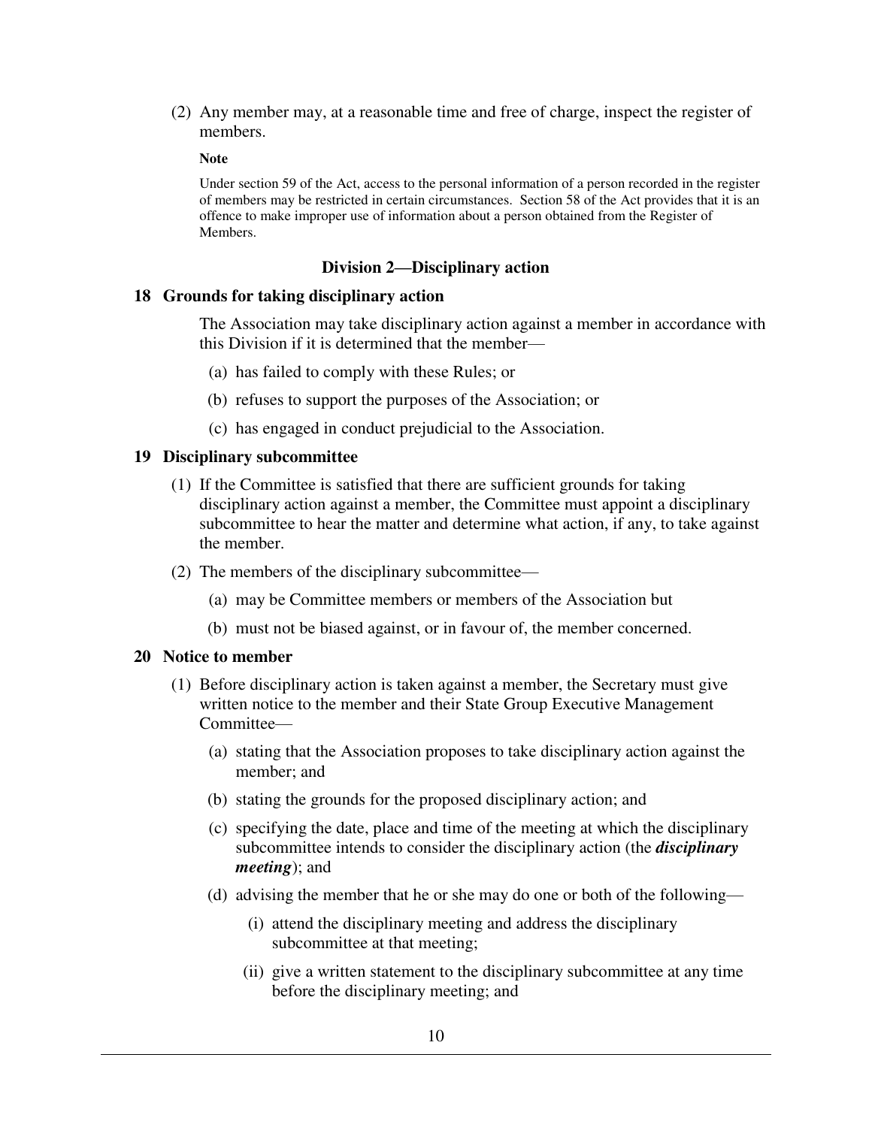(2) Any member may, at a reasonable time and free of charge, inspect the register of members.

**Note** 

Under section 59 of the Act, access to the personal information of a person recorded in the register of members may be restricted in certain circumstances. Section 58 of the Act provides that it is an offence to make improper use of information about a person obtained from the Register of Members.

### **Division 2—Disciplinary action**

#### **18 Grounds for taking disciplinary action**

The Association may take disciplinary action against a member in accordance with this Division if it is determined that the member—

- (a) has failed to comply with these Rules; or
- (b) refuses to support the purposes of the Association; or
- (c) has engaged in conduct prejudicial to the Association.

### **19 Disciplinary subcommittee**

- (1) If the Committee is satisfied that there are sufficient grounds for taking disciplinary action against a member, the Committee must appoint a disciplinary subcommittee to hear the matter and determine what action, if any, to take against the member.
- (2) The members of the disciplinary subcommittee—
	- (a) may be Committee members or members of the Association but
	- (b) must not be biased against, or in favour of, the member concerned.

### **20 Notice to member**

- (1) Before disciplinary action is taken against a member, the Secretary must give written notice to the member and their State Group Executive Management Committee—
	- (a) stating that the Association proposes to take disciplinary action against the member; and
	- (b) stating the grounds for the proposed disciplinary action; and
	- (c) specifying the date, place and time of the meeting at which the disciplinary subcommittee intends to consider the disciplinary action (the *disciplinary meeting*); and
	- (d) advising the member that he or she may do one or both of the following—
		- (i) attend the disciplinary meeting and address the disciplinary subcommittee at that meeting;
		- (ii) give a written statement to the disciplinary subcommittee at any time before the disciplinary meeting; and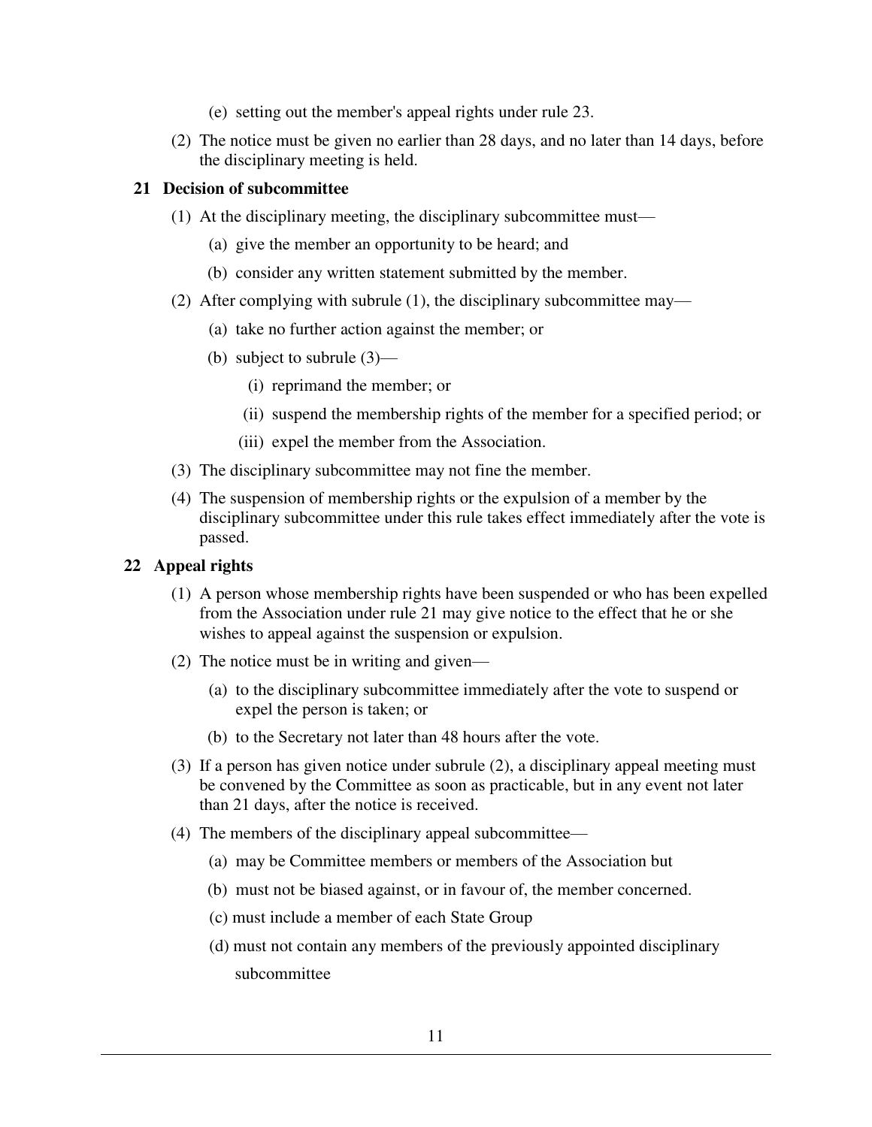- (e) setting out the member's appeal rights under rule 23.
- (2) The notice must be given no earlier than 28 days, and no later than 14 days, before the disciplinary meeting is held.

# **21 Decision of subcommittee**

- (1) At the disciplinary meeting, the disciplinary subcommittee must—
	- (a) give the member an opportunity to be heard; and
	- (b) consider any written statement submitted by the member.
- (2) After complying with subrule (1), the disciplinary subcommittee may—
	- (a) take no further action against the member; or
	- (b) subject to subrule (3)—
		- (i) reprimand the member; or
		- (ii) suspend the membership rights of the member for a specified period; or
		- (iii) expel the member from the Association.
- (3) The disciplinary subcommittee may not fine the member.
- (4) The suspension of membership rights or the expulsion of a member by the disciplinary subcommittee under this rule takes effect immediately after the vote is passed.

# **22 Appeal rights**

- (1) A person whose membership rights have been suspended or who has been expelled from the Association under rule 21 may give notice to the effect that he or she wishes to appeal against the suspension or expulsion.
- (2) The notice must be in writing and given—
	- (a) to the disciplinary subcommittee immediately after the vote to suspend or expel the person is taken; or
	- (b) to the Secretary not later than 48 hours after the vote.
- (3) If a person has given notice under subrule (2), a disciplinary appeal meeting must be convened by the Committee as soon as practicable, but in any event not later than 21 days, after the notice is received.
- (4) The members of the disciplinary appeal subcommittee—
	- (a) may be Committee members or members of the Association but
	- (b) must not be biased against, or in favour of, the member concerned.
	- (c) must include a member of each State Group
	- (d) must not contain any members of the previously appointed disciplinary subcommittee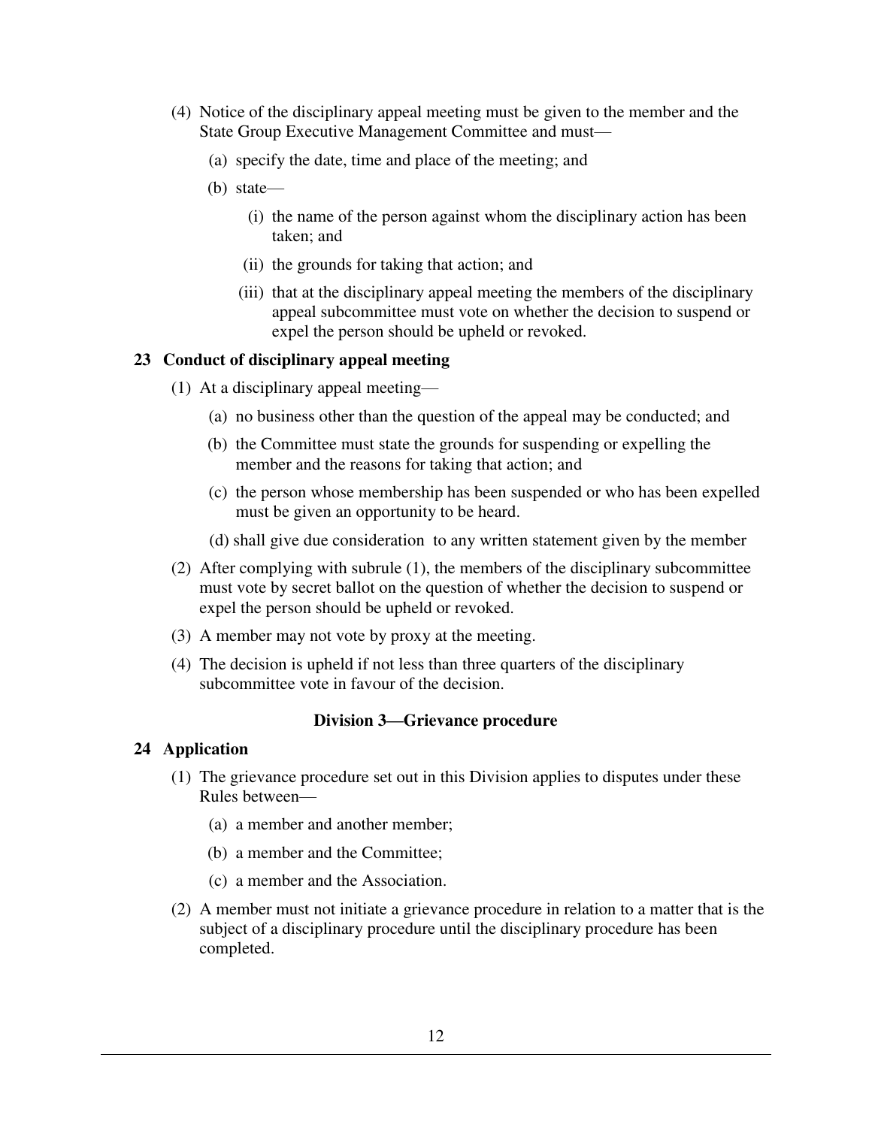- (4) Notice of the disciplinary appeal meeting must be given to the member and the State Group Executive Management Committee and must—
	- (a) specify the date, time and place of the meeting; and
	- (b) state—
		- (i) the name of the person against whom the disciplinary action has been taken; and
		- (ii) the grounds for taking that action; and
		- (iii) that at the disciplinary appeal meeting the members of the disciplinary appeal subcommittee must vote on whether the decision to suspend or expel the person should be upheld or revoked.

# **23 Conduct of disciplinary appeal meeting**

- (1) At a disciplinary appeal meeting—
	- (a) no business other than the question of the appeal may be conducted; and
	- (b) the Committee must state the grounds for suspending or expelling the member and the reasons for taking that action; and
	- (c) the person whose membership has been suspended or who has been expelled must be given an opportunity to be heard.
	- (d) shall give due consideration to any written statement given by the member
- (2) After complying with subrule (1), the members of the disciplinary subcommittee must vote by secret ballot on the question of whether the decision to suspend or expel the person should be upheld or revoked.
- (3) A member may not vote by proxy at the meeting.
- (4) The decision is upheld if not less than three quarters of the disciplinary subcommittee vote in favour of the decision.

# **Division 3—Grievance procedure**

# **24 Application**

- (1) The grievance procedure set out in this Division applies to disputes under these Rules between—
	- (a) a member and another member;
	- (b) a member and the Committee;
	- (c) a member and the Association.
- (2) A member must not initiate a grievance procedure in relation to a matter that is the subject of a disciplinary procedure until the disciplinary procedure has been completed.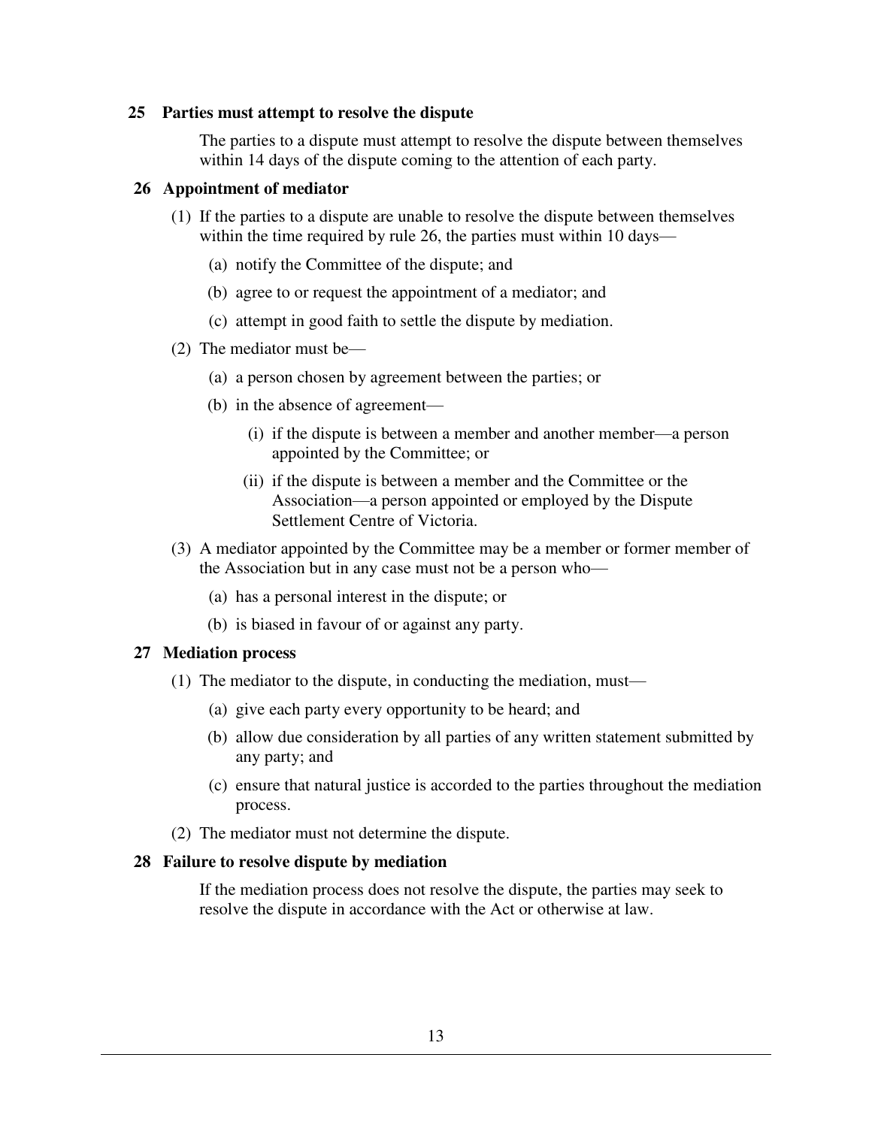### **25 Parties must attempt to resolve the dispute**

The parties to a dispute must attempt to resolve the dispute between themselves within 14 days of the dispute coming to the attention of each party.

### **26 Appointment of mediator**

- (1) If the parties to a dispute are unable to resolve the dispute between themselves within the time required by rule 26, the parties must within 10 days—
	- (a) notify the Committee of the dispute; and
	- (b) agree to or request the appointment of a mediator; and
	- (c) attempt in good faith to settle the dispute by mediation.
- (2) The mediator must be—
	- (a) a person chosen by agreement between the parties; or
	- (b) in the absence of agreement—
		- (i) if the dispute is between a member and another member—a person appointed by the Committee; or
		- (ii) if the dispute is between a member and the Committee or the Association—a person appointed or employed by the Dispute Settlement Centre of Victoria.
- (3) A mediator appointed by the Committee may be a member or former member of the Association but in any case must not be a person who—
	- (a) has a personal interest in the dispute; or
	- (b) is biased in favour of or against any party.

# **27 Mediation process**

- (1) The mediator to the dispute, in conducting the mediation, must—
	- (a) give each party every opportunity to be heard; and
	- (b) allow due consideration by all parties of any written statement submitted by any party; and
	- (c) ensure that natural justice is accorded to the parties throughout the mediation process.
- (2) The mediator must not determine the dispute.

#### **28 Failure to resolve dispute by mediation**

If the mediation process does not resolve the dispute, the parties may seek to resolve the dispute in accordance with the Act or otherwise at law.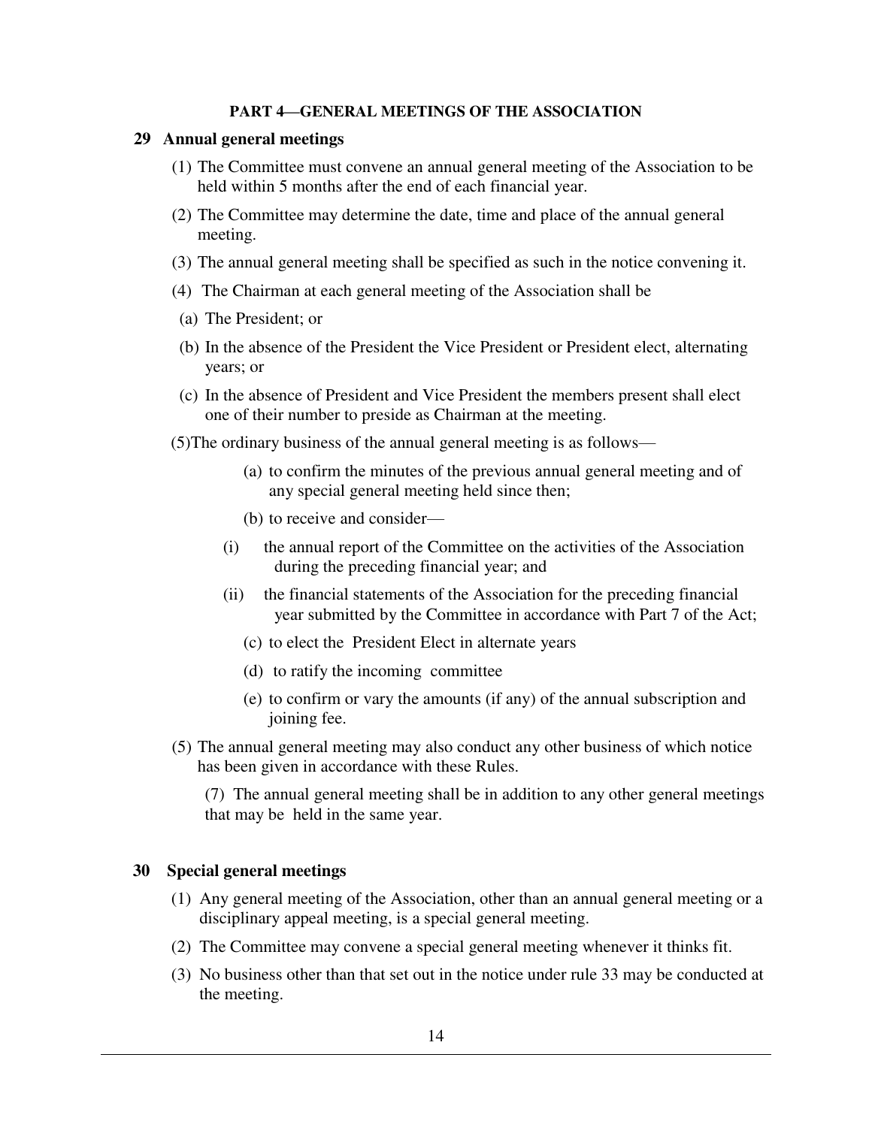#### **PART 4—GENERAL MEETINGS OF THE ASSOCIATION**

### **29 Annual general meetings**

- (1) The Committee must convene an annual general meeting of the Association to be held within 5 months after the end of each financial year.
- (2) The Committee may determine the date, time and place of the annual general meeting.
- (3) The annual general meeting shall be specified as such in the notice convening it.
- (4) The Chairman at each general meeting of the Association shall be
- (a) The President; or
- (b) In the absence of the President the Vice President or President elect, alternating years; or
- (c) In the absence of President and Vice President the members present shall elect one of their number to preside as Chairman at the meeting.
- (5)The ordinary business of the annual general meeting is as follows—
	- (a) to confirm the minutes of the previous annual general meeting and of any special general meeting held since then;
	- (b) to receive and consider—
	- (i) the annual report of the Committee on the activities of the Association during the preceding financial year; and
	- (ii) the financial statements of the Association for the preceding financial year submitted by the Committee in accordance with Part 7 of the Act;
		- (c) to elect the President Elect in alternate years
		- (d) to ratify the incoming committee
		- (e) to confirm or vary the amounts (if any) of the annual subscription and joining fee.
- (5) The annual general meeting may also conduct any other business of which notice has been given in accordance with these Rules.

(7) The annual general meeting shall be in addition to any other general meetings that may be held in the same year.

#### **30 Special general meetings**

- (1) Any general meeting of the Association, other than an annual general meeting or a disciplinary appeal meeting, is a special general meeting.
- (2) The Committee may convene a special general meeting whenever it thinks fit.
- (3) No business other than that set out in the notice under rule 33 may be conducted at the meeting.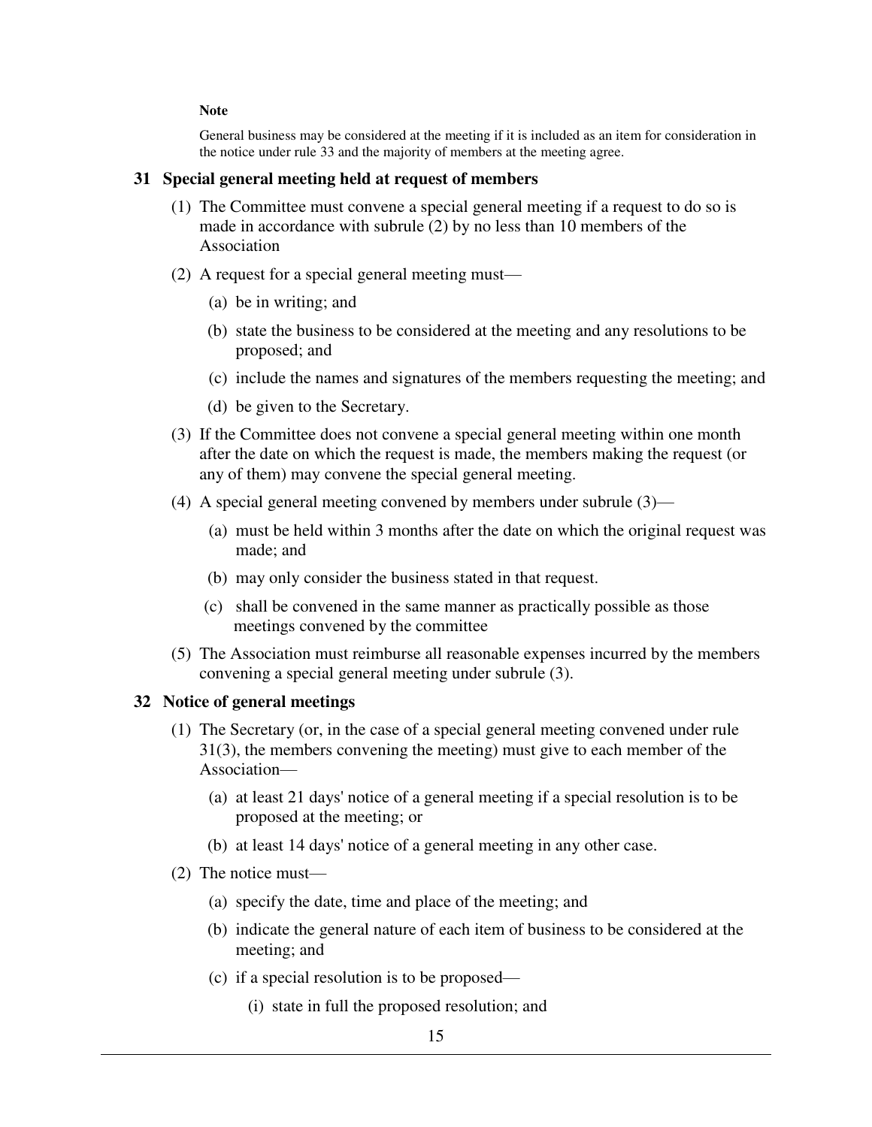#### **Note**

General business may be considered at the meeting if it is included as an item for consideration in the notice under rule 33 and the majority of members at the meeting agree.

### **31 Special general meeting held at request of members**

- (1) The Committee must convene a special general meeting if a request to do so is made in accordance with subrule (2) by no less than 10 members of the Association
- (2) A request for a special general meeting must—
	- (a) be in writing; and
	- (b) state the business to be considered at the meeting and any resolutions to be proposed; and
	- (c) include the names and signatures of the members requesting the meeting; and
	- (d) be given to the Secretary.
- (3) If the Committee does not convene a special general meeting within one month after the date on which the request is made, the members making the request (or any of them) may convene the special general meeting.
- (4) A special general meeting convened by members under subrule (3)—
	- (a) must be held within 3 months after the date on which the original request was made; and
	- (b) may only consider the business stated in that request.
	- (c) shall be convened in the same manner as practically possible as those meetings convened by the committee
- (5) The Association must reimburse all reasonable expenses incurred by the members convening a special general meeting under subrule (3).

# **32 Notice of general meetings**

- (1) The Secretary (or, in the case of a special general meeting convened under rule 31(3), the members convening the meeting) must give to each member of the Association—
	- (a) at least 21 days' notice of a general meeting if a special resolution is to be proposed at the meeting; or
	- (b) at least 14 days' notice of a general meeting in any other case.
- (2) The notice must—
	- (a) specify the date, time and place of the meeting; and
	- (b) indicate the general nature of each item of business to be considered at the meeting; and
	- (c) if a special resolution is to be proposed—
		- (i) state in full the proposed resolution; and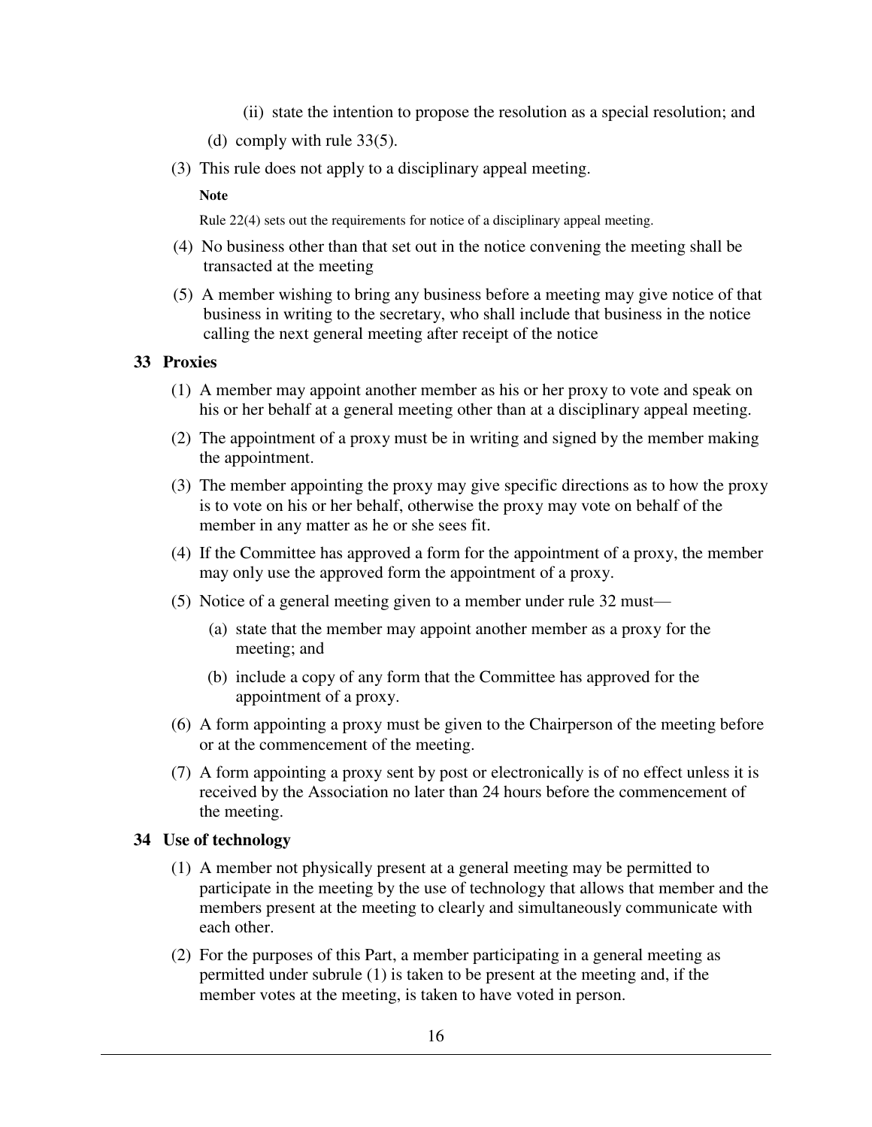- (ii) state the intention to propose the resolution as a special resolution; and
- (d) comply with rule 33(5).
- (3) This rule does not apply to a disciplinary appeal meeting.

#### **Note**

Rule 22(4) sets out the requirements for notice of a disciplinary appeal meeting.

- (4) No business other than that set out in the notice convening the meeting shall be transacted at the meeting
- (5) A member wishing to bring any business before a meeting may give notice of that business in writing to the secretary, who shall include that business in the notice calling the next general meeting after receipt of the notice

### **33 Proxies**

- (1) A member may appoint another member as his or her proxy to vote and speak on his or her behalf at a general meeting other than at a disciplinary appeal meeting.
- (2) The appointment of a proxy must be in writing and signed by the member making the appointment.
- (3) The member appointing the proxy may give specific directions as to how the proxy is to vote on his or her behalf, otherwise the proxy may vote on behalf of the member in any matter as he or she sees fit.
- (4) If the Committee has approved a form for the appointment of a proxy, the member may only use the approved form the appointment of a proxy.
- (5) Notice of a general meeting given to a member under rule 32 must—
	- (a) state that the member may appoint another member as a proxy for the meeting; and
	- (b) include a copy of any form that the Committee has approved for the appointment of a proxy.
- (6) A form appointing a proxy must be given to the Chairperson of the meeting before or at the commencement of the meeting.
- (7) A form appointing a proxy sent by post or electronically is of no effect unless it is received by the Association no later than 24 hours before the commencement of the meeting.

# **34 Use of technology**

- (1) A member not physically present at a general meeting may be permitted to participate in the meeting by the use of technology that allows that member and the members present at the meeting to clearly and simultaneously communicate with each other.
- (2) For the purposes of this Part, a member participating in a general meeting as permitted under subrule (1) is taken to be present at the meeting and, if the member votes at the meeting, is taken to have voted in person.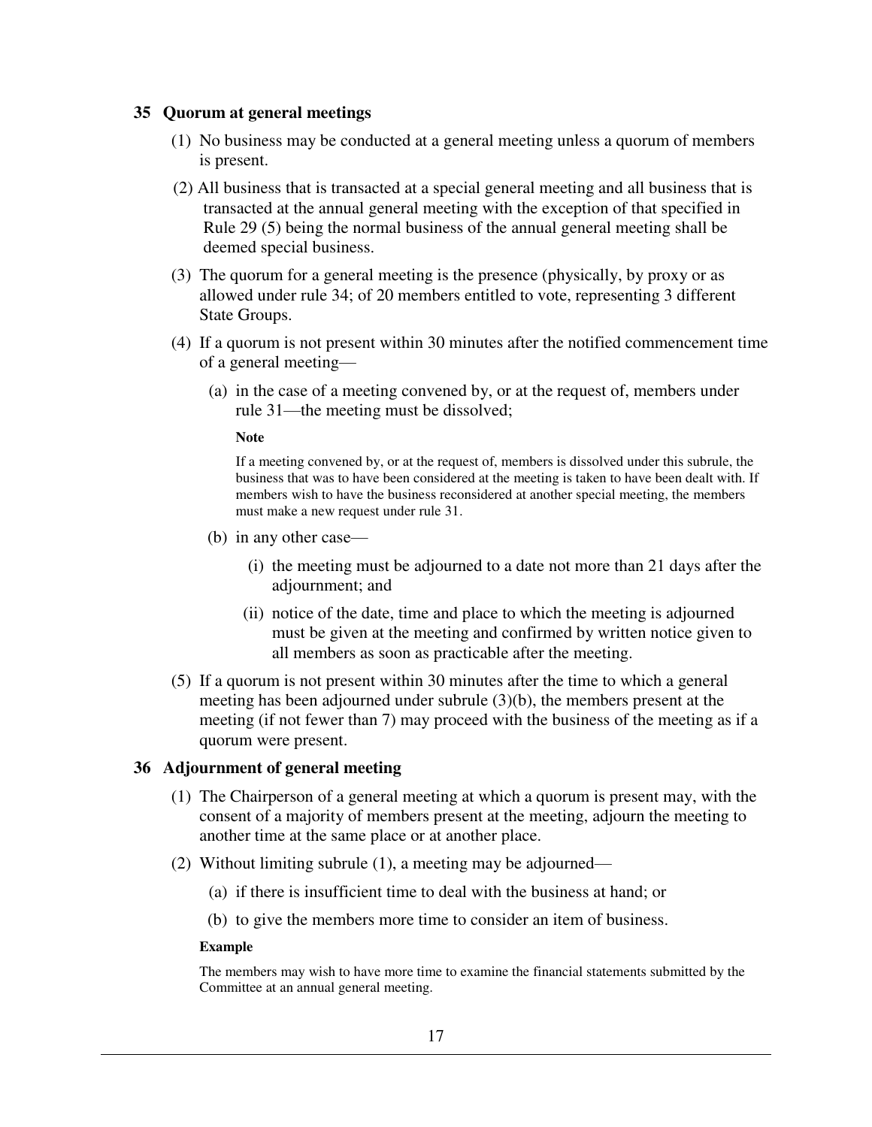### **35 Quorum at general meetings**

- (1) No business may be conducted at a general meeting unless a quorum of members is present.
- (2) All business that is transacted at a special general meeting and all business that is transacted at the annual general meeting with the exception of that specified in Rule 29 (5) being the normal business of the annual general meeting shall be deemed special business.
- (3) The quorum for a general meeting is the presence (physically, by proxy or as allowed under rule 34; of 20 members entitled to vote, representing 3 different State Groups.
- (4) If a quorum is not present within 30 minutes after the notified commencement time of a general meeting—
	- (a) in the case of a meeting convened by, or at the request of, members under rule 31—the meeting must be dissolved;

#### **Note**

If a meeting convened by, or at the request of, members is dissolved under this subrule, the business that was to have been considered at the meeting is taken to have been dealt with. If members wish to have the business reconsidered at another special meeting, the members must make a new request under rule 31.

- (b) in any other case—
	- (i) the meeting must be adjourned to a date not more than 21 days after the adjournment; and
	- (ii) notice of the date, time and place to which the meeting is adjourned must be given at the meeting and confirmed by written notice given to all members as soon as practicable after the meeting.
- (5) If a quorum is not present within 30 minutes after the time to which a general meeting has been adjourned under subrule (3)(b), the members present at the meeting (if not fewer than 7) may proceed with the business of the meeting as if a quorum were present.

#### **36 Adjournment of general meeting**

- (1) The Chairperson of a general meeting at which a quorum is present may, with the consent of a majority of members present at the meeting, adjourn the meeting to another time at the same place or at another place.
- (2) Without limiting subrule (1), a meeting may be adjourned—
	- (a) if there is insufficient time to deal with the business at hand; or
	- (b) to give the members more time to consider an item of business.

#### **Example**

The members may wish to have more time to examine the financial statements submitted by the Committee at an annual general meeting.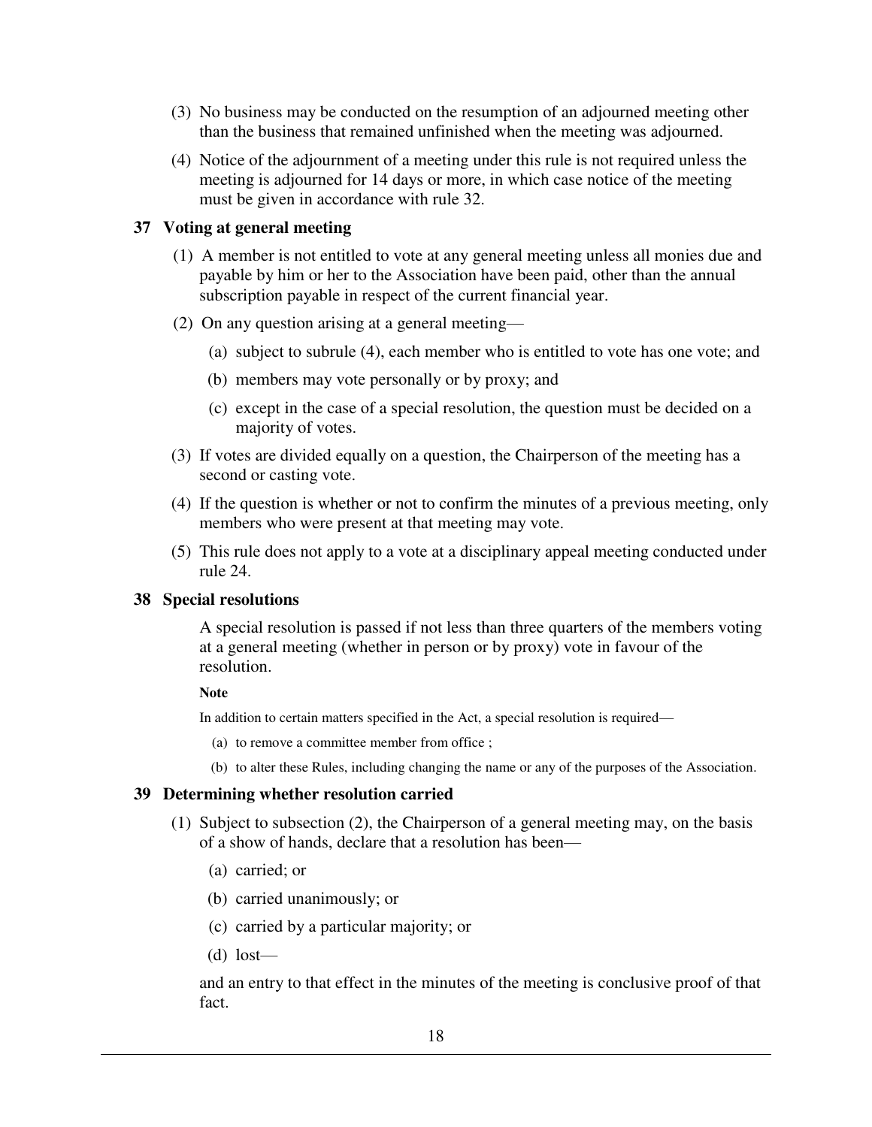- (3) No business may be conducted on the resumption of an adjourned meeting other than the business that remained unfinished when the meeting was adjourned.
- (4) Notice of the adjournment of a meeting under this rule is not required unless the meeting is adjourned for 14 days or more, in which case notice of the meeting must be given in accordance with rule 32.

# **37 Voting at general meeting**

- (1) A member is not entitled to vote at any general meeting unless all monies due and payable by him or her to the Association have been paid, other than the annual subscription payable in respect of the current financial year.
- (2) On any question arising at a general meeting—
	- (a) subject to subrule (4), each member who is entitled to vote has one vote; and
	- (b) members may vote personally or by proxy; and
	- (c) except in the case of a special resolution, the question must be decided on a majority of votes.
- (3) If votes are divided equally on a question, the Chairperson of the meeting has a second or casting vote.
- (4) If the question is whether or not to confirm the minutes of a previous meeting, only members who were present at that meeting may vote.
- (5) This rule does not apply to a vote at a disciplinary appeal meeting conducted under rule 24.

# **38 Special resolutions**

A special resolution is passed if not less than three quarters of the members voting at a general meeting (whether in person or by proxy) vote in favour of the resolution.

#### **Note**

In addition to certain matters specified in the Act, a special resolution is required—

- (a) to remove a committee member from office ;
- (b) to alter these Rules, including changing the name or any of the purposes of the Association.

### **39 Determining whether resolution carried**

- (1) Subject to subsection (2), the Chairperson of a general meeting may, on the basis of a show of hands, declare that a resolution has been—
	- (a) carried; or
	- (b) carried unanimously; or
	- (c) carried by a particular majority; or
	- (d) lost—

and an entry to that effect in the minutes of the meeting is conclusive proof of that fact.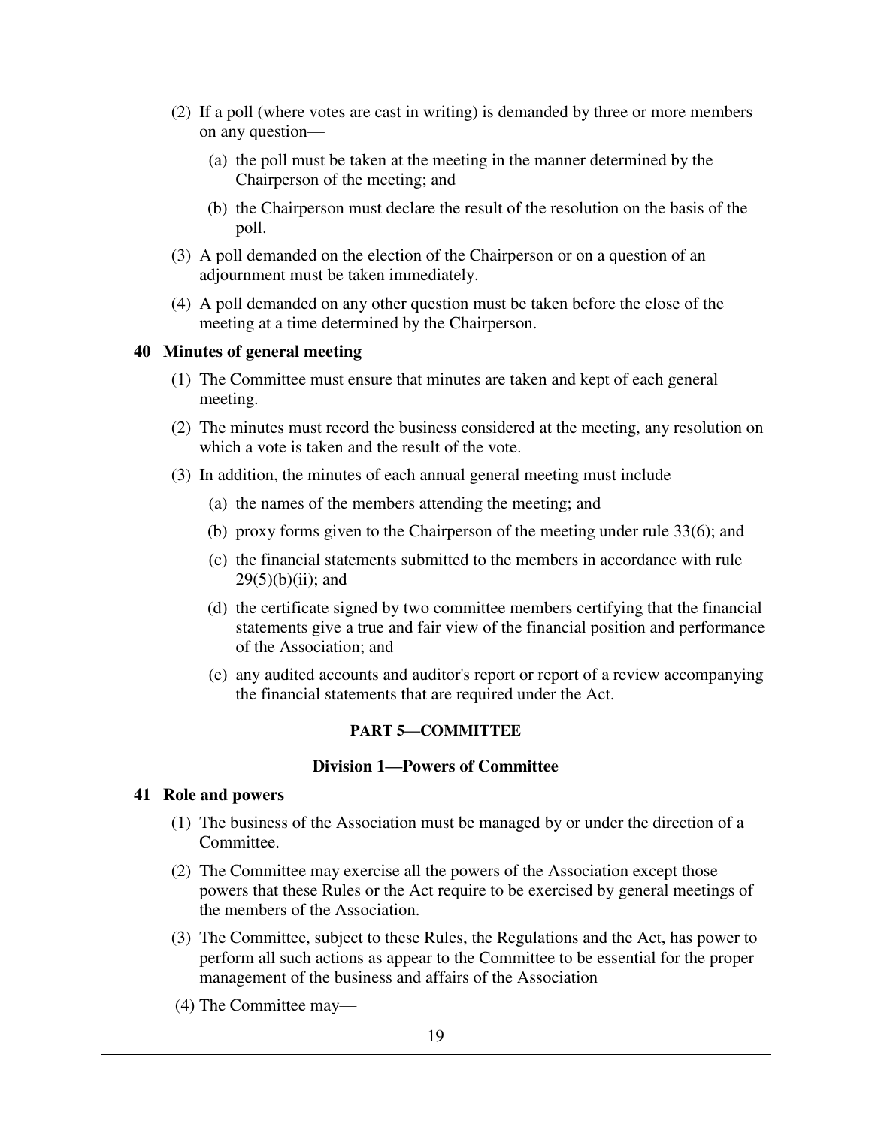- (2) If a poll (where votes are cast in writing) is demanded by three or more members on any question—
	- (a) the poll must be taken at the meeting in the manner determined by the Chairperson of the meeting; and
	- (b) the Chairperson must declare the result of the resolution on the basis of the poll.
- (3) A poll demanded on the election of the Chairperson or on a question of an adjournment must be taken immediately.
- (4) A poll demanded on any other question must be taken before the close of the meeting at a time determined by the Chairperson.

### **40 Minutes of general meeting**

- (1) The Committee must ensure that minutes are taken and kept of each general meeting.
- (2) The minutes must record the business considered at the meeting, any resolution on which a vote is taken and the result of the vote.
- (3) In addition, the minutes of each annual general meeting must include—
	- (a) the names of the members attending the meeting; and
	- (b) proxy forms given to the Chairperson of the meeting under rule 33(6); and
	- (c) the financial statements submitted to the members in accordance with rule  $29(5)(b)(ii)$ ; and
	- (d) the certificate signed by two committee members certifying that the financial statements give a true and fair view of the financial position and performance of the Association; and
	- (e) any audited accounts and auditor's report or report of a review accompanying the financial statements that are required under the Act.

# **PART 5—COMMITTEE**

### **Division 1—Powers of Committee**

#### **41 Role and powers**

- (1) The business of the Association must be managed by or under the direction of a Committee.
- (2) The Committee may exercise all the powers of the Association except those powers that these Rules or the Act require to be exercised by general meetings of the members of the Association.
- (3) The Committee, subject to these Rules, the Regulations and the Act, has power to perform all such actions as appear to the Committee to be essential for the proper management of the business and affairs of the Association
- (4) The Committee may—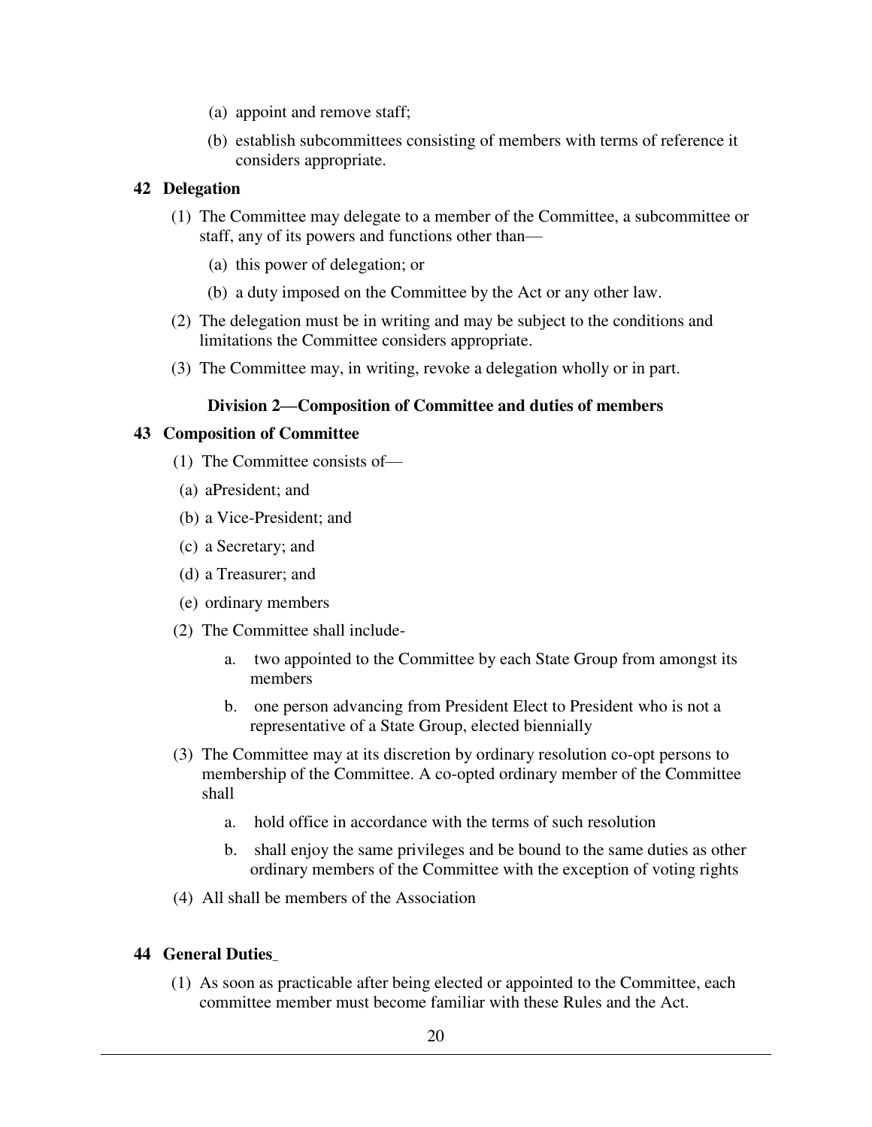- (a) appoint and remove staff;
- (b) establish subcommittees consisting of members with terms of reference it considers appropriate.

# **42 Delegation**

- (1) The Committee may delegate to a member of the Committee, a subcommittee or staff, any of its powers and functions other than—
	- (a) this power of delegation; or
	- (b) a duty imposed on the Committee by the Act or any other law.
- (2) The delegation must be in writing and may be subject to the conditions and limitations the Committee considers appropriate.
- (3) The Committee may, in writing, revoke a delegation wholly or in part.

# **Division 2—Composition of Committee and duties of members**

# **43 Composition of Committee**

- (1) The Committee consists of—
- (a) aPresident; and
- (b) a Vice-President; and
- (c) a Secretary; and
- (d) a Treasurer; and
- (e) ordinary members
- (2) The Committee shall include
	- a. two appointed to the Committee by each State Group from amongst its members
	- b. one person advancing from President Elect to President who is not a representative of a State Group, elected biennially
- (3) The Committee may at its discretion by ordinary resolution co-opt persons to membership of the Committee. A co-opted ordinary member of the Committee shall
	- a. hold office in accordance with the terms of such resolution
	- b. shall enjoy the same privileges and be bound to the same duties as other ordinary members of the Committee with the exception of voting rights
- (4) All shall be members of the Association

# **44 General Duties**\_

 (1) As soon as practicable after being elected or appointed to the Committee, each committee member must become familiar with these Rules and the Act.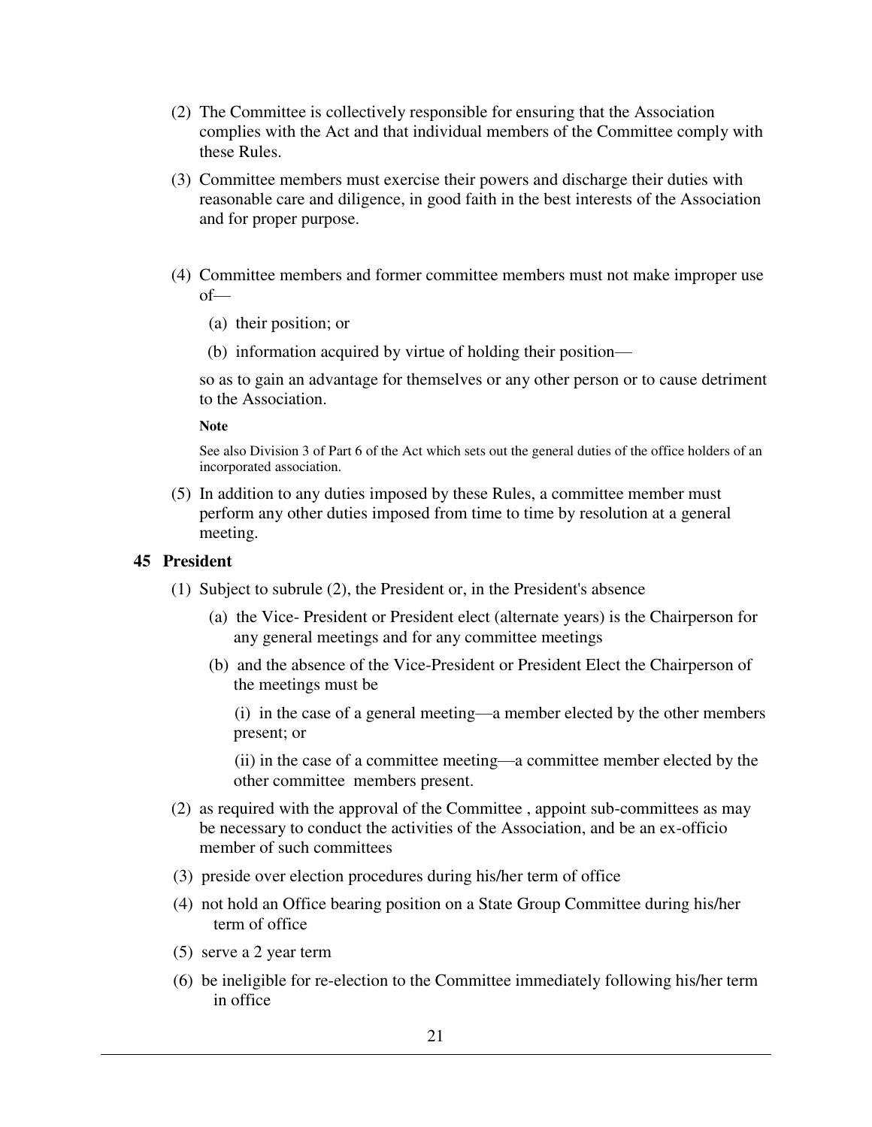- (2) The Committee is collectively responsible for ensuring that the Association complies with the Act and that individual members of the Committee comply with these Rules.
- (3) Committee members must exercise their powers and discharge their duties with reasonable care and diligence, in good faith in the best interests of the Association and for proper purpose.
- (4) Committee members and former committee members must not make improper use of—
	- (a) their position; or
	- (b) information acquired by virtue of holding their position—

so as to gain an advantage for themselves or any other person or to cause detriment to the Association.

#### **Note**

See also Division 3 of Part 6 of the Act which sets out the general duties of the office holders of an incorporated association.

 (5) In addition to any duties imposed by these Rules, a committee member must perform any other duties imposed from time to time by resolution at a general meeting.

### **45 President**

- (1) Subject to subrule (2), the President or, in the President's absence
	- (a) the Vice- President or President elect (alternate years) is the Chairperson for any general meetings and for any committee meetings
	- (b) and the absence of the Vice-President or President Elect the Chairperson of the meetings must be

 (i) in the case of a general meeting—a member elected by the other members present; or

 (ii) in the case of a committee meeting—a committee member elected by the other committee members present.

- (2) as required with the approval of the Committee , appoint sub-committees as may be necessary to conduct the activities of the Association, and be an ex-officio member of such committees
- (3) preside over election procedures during his/her term of office
- (4) not hold an Office bearing position on a State Group Committee during his/her term of office
- (5) serve a 2 year term
- (6) be ineligible for re-election to the Committee immediately following his/her term in office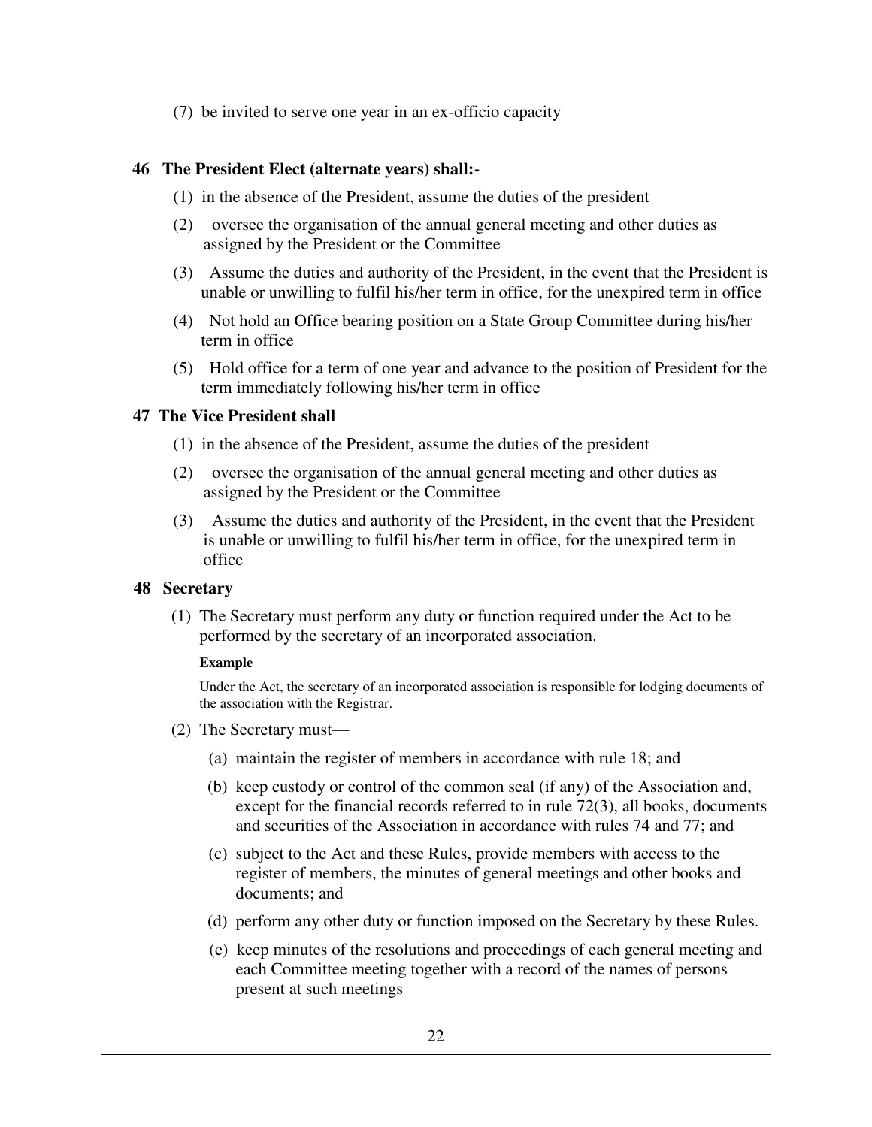(7) be invited to serve one year in an ex-officio capacity

# **46 The President Elect (alternate years) shall:-**

- (1) in the absence of the President, assume the duties of the president
- (2) oversee the organisation of the annual general meeting and other duties as assigned by the President or the Committee
- (3) Assume the duties and authority of the President, in the event that the President is unable or unwilling to fulfil his/her term in office, for the unexpired term in office
- (4) Not hold an Office bearing position on a State Group Committee during his/her term in office
- (5) Hold office for a term of one year and advance to the position of President for the term immediately following his/her term in office

# **47 The Vice President shall**

- (1) in the absence of the President, assume the duties of the president
- (2) oversee the organisation of the annual general meeting and other duties as assigned by the President or the Committee
- (3) Assume the duties and authority of the President, in the event that the President is unable or unwilling to fulfil his/her term in office, for the unexpired term in office

# **48 Secretary**

 (1) The Secretary must perform any duty or function required under the Act to be performed by the secretary of an incorporated association.

# **Example**

Under the Act, the secretary of an incorporated association is responsible for lodging documents of the association with the Registrar.

- (2) The Secretary must—
	- (a) maintain the register of members in accordance with rule 18; and
	- (b) keep custody or control of the common seal (if any) of the Association and, except for the financial records referred to in rule 72(3), all books, documents and securities of the Association in accordance with rules 74 and 77; and
	- (c) subject to the Act and these Rules, provide members with access to the register of members, the minutes of general meetings and other books and documents; and
	- (d) perform any other duty or function imposed on the Secretary by these Rules.
	- (e) keep minutes of the resolutions and proceedings of each general meeting and each Committee meeting together with a record of the names of persons present at such meetings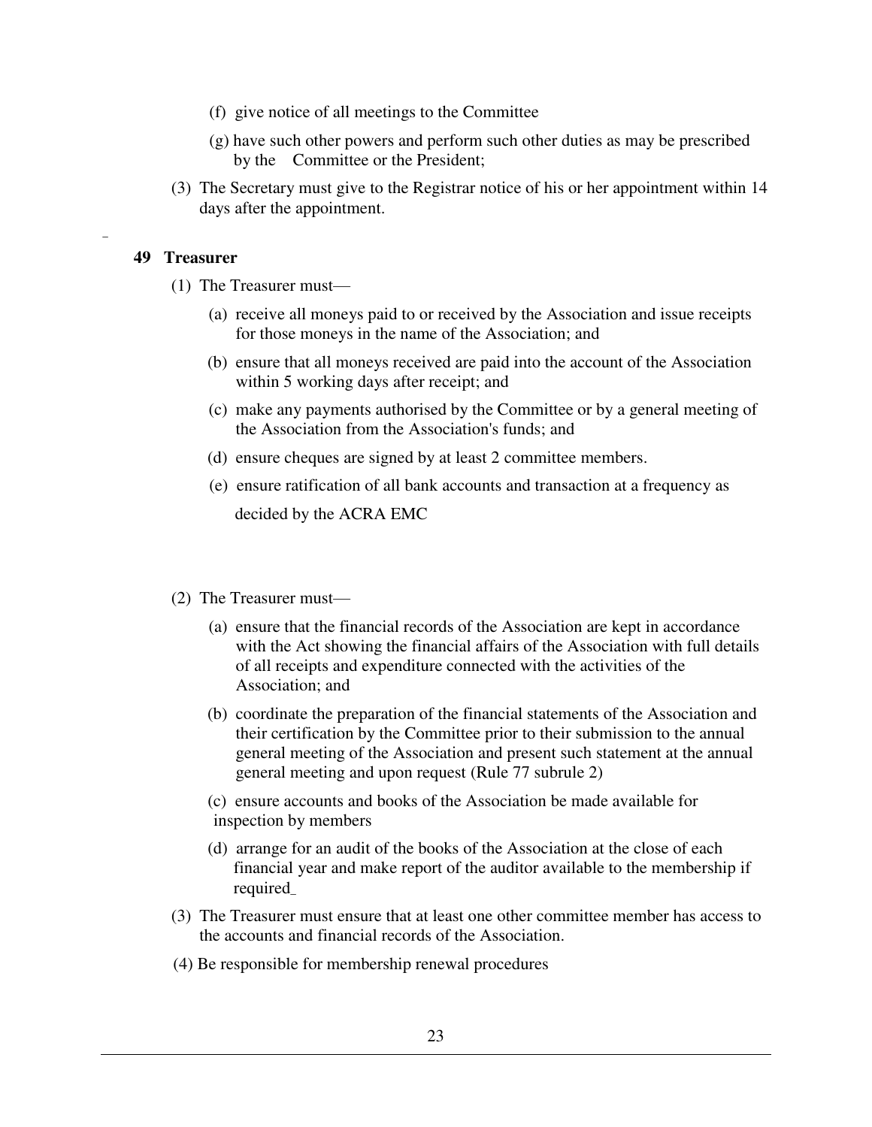- (f) give notice of all meetings to the Committee
- (g) have such other powers and perform such other duties as may be prescribed by the Committee or the President;
- (3) The Secretary must give to the Registrar notice of his or her appointment within 14 days after the appointment.

### **49 Treasurer**

\_

- (1) The Treasurer must—
	- (a) receive all moneys paid to or received by the Association and issue receipts for those moneys in the name of the Association; and
	- (b) ensure that all moneys received are paid into the account of the Association within 5 working days after receipt; and
	- (c) make any payments authorised by the Committee or by a general meeting of the Association from the Association's funds; and
	- (d) ensure cheques are signed by at least 2 committee members.
	- (e) ensure ratification of all bank accounts and transaction at a frequency as decided by the ACRA EMC
- (2) The Treasurer must—
	- (a) ensure that the financial records of the Association are kept in accordance with the Act showing the financial affairs of the Association with full details of all receipts and expenditure connected with the activities of the Association; and
	- (b) coordinate the preparation of the financial statements of the Association and their certification by the Committee prior to their submission to the annual general meeting of the Association and present such statement at the annual general meeting and upon request (Rule 77 subrule 2)
	- (c) ensure accounts and books of the Association be made available for inspection by members
	- (d) arrange for an audit of the books of the Association at the close of each financial year and make report of the auditor available to the membership if required\_
- (3) The Treasurer must ensure that at least one other committee member has access to the accounts and financial records of the Association.
- (4) Be responsible for membership renewal procedures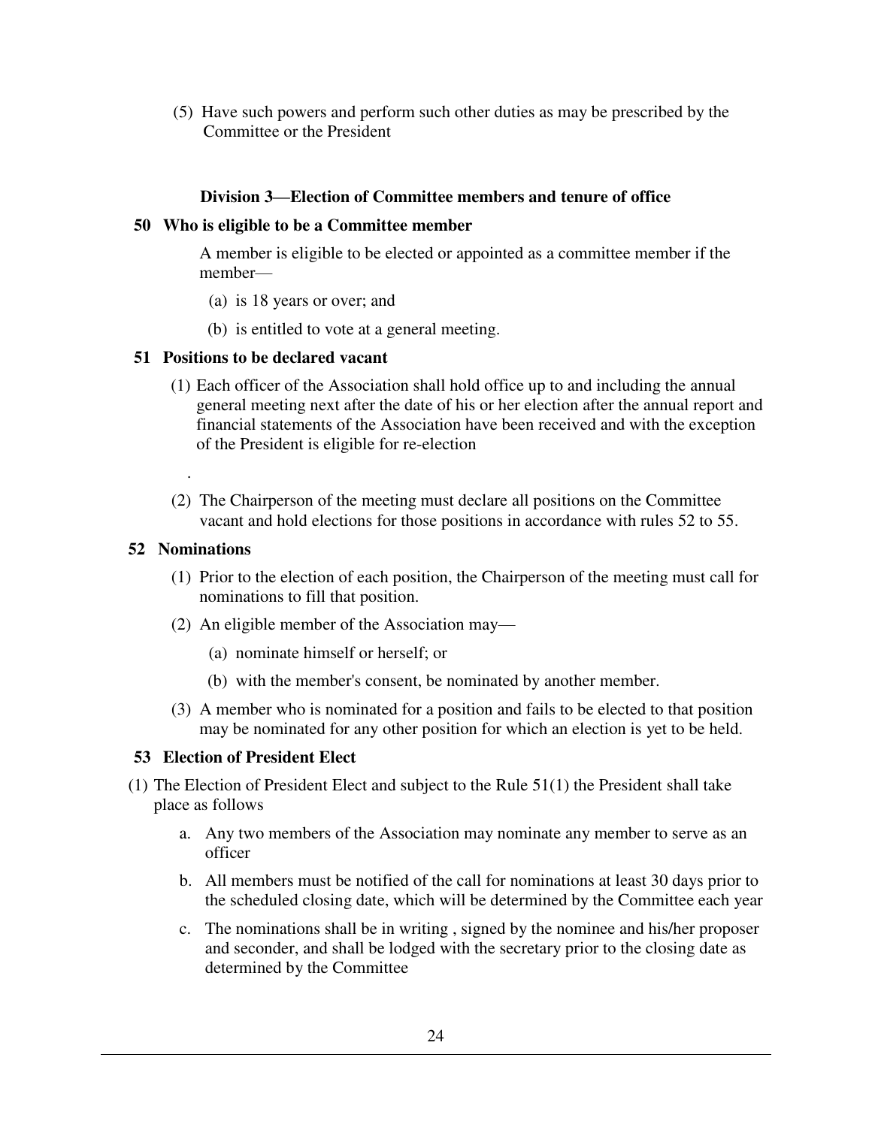(5) Have such powers and perform such other duties as may be prescribed by the Committee or the President

# **Division 3—Election of Committee members and tenure of office**

# **50 Who is eligible to be a Committee member**

A member is eligible to be elected or appointed as a committee member if the member—

- (a) is 18 years or over; and
- (b) is entitled to vote at a general meeting.

# **51 Positions to be declared vacant**

- (1) Each officer of the Association shall hold office up to and including the annual general meeting next after the date of his or her election after the annual report and financial statements of the Association have been received and with the exception of the President is eligible for re-election
- (2) The Chairperson of the meeting must declare all positions on the Committee vacant and hold elections for those positions in accordance with rules 52 to 55.

# **52 Nominations**

.

- (1) Prior to the election of each position, the Chairperson of the meeting must call for nominations to fill that position.
- (2) An eligible member of the Association may—
	- (a) nominate himself or herself; or
	- (b) with the member's consent, be nominated by another member.
- (3) A member who is nominated for a position and fails to be elected to that position may be nominated for any other position for which an election is yet to be held.

# **53 Election of President Elect**

- (1) The Election of President Elect and subject to the Rule 51(1) the President shall take place as follows
	- a. Any two members of the Association may nominate any member to serve as an officer
	- b. All members must be notified of the call for nominations at least 30 days prior to the scheduled closing date, which will be determined by the Committee each year
	- c. The nominations shall be in writing , signed by the nominee and his/her proposer and seconder, and shall be lodged with the secretary prior to the closing date as determined by the Committee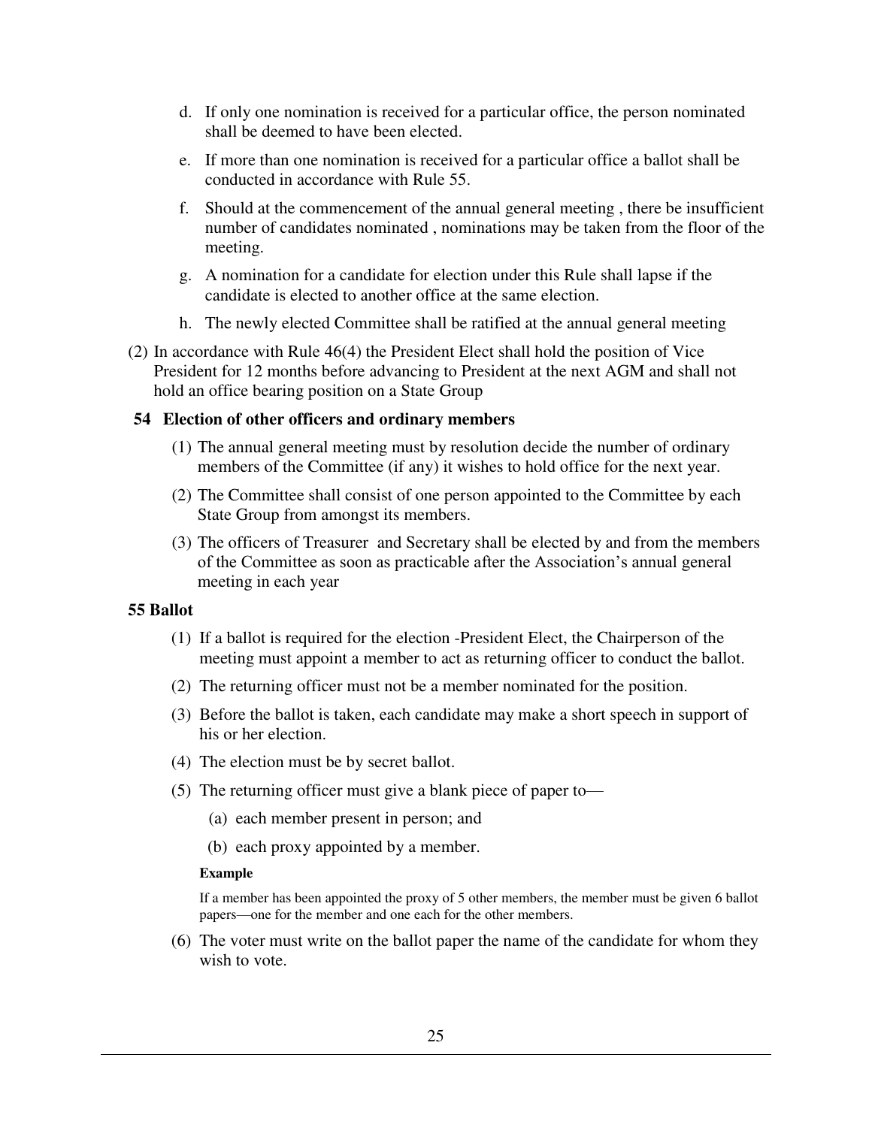- d. If only one nomination is received for a particular office, the person nominated shall be deemed to have been elected.
- e. If more than one nomination is received for a particular office a ballot shall be conducted in accordance with Rule 55.
- f. Should at the commencement of the annual general meeting , there be insufficient number of candidates nominated , nominations may be taken from the floor of the meeting.
- g. A nomination for a candidate for election under this Rule shall lapse if the candidate is elected to another office at the same election.
- h. The newly elected Committee shall be ratified at the annual general meeting
- (2) In accordance with Rule 46(4) the President Elect shall hold the position of Vice President for 12 months before advancing to President at the next AGM and shall not hold an office bearing position on a State Group

### **54 Election of other officers and ordinary members**

- (1) The annual general meeting must by resolution decide the number of ordinary members of the Committee (if any) it wishes to hold office for the next year.
- (2) The Committee shall consist of one person appointed to the Committee by each State Group from amongst its members.
- (3) The officers of Treasurer and Secretary shall be elected by and from the members of the Committee as soon as practicable after the Association's annual general meeting in each year

### **55 Ballot**

- (1) If a ballot is required for the election -President Elect, the Chairperson of the meeting must appoint a member to act as returning officer to conduct the ballot.
- (2) The returning officer must not be a member nominated for the position.
- (3) Before the ballot is taken, each candidate may make a short speech in support of his or her election.
- (4) The election must be by secret ballot.
- (5) The returning officer must give a blank piece of paper to—
	- (a) each member present in person; and
	- (b) each proxy appointed by a member.

#### **Example**

If a member has been appointed the proxy of 5 other members, the member must be given 6 ballot papers—one for the member and one each for the other members.

 (6) The voter must write on the ballot paper the name of the candidate for whom they wish to vote.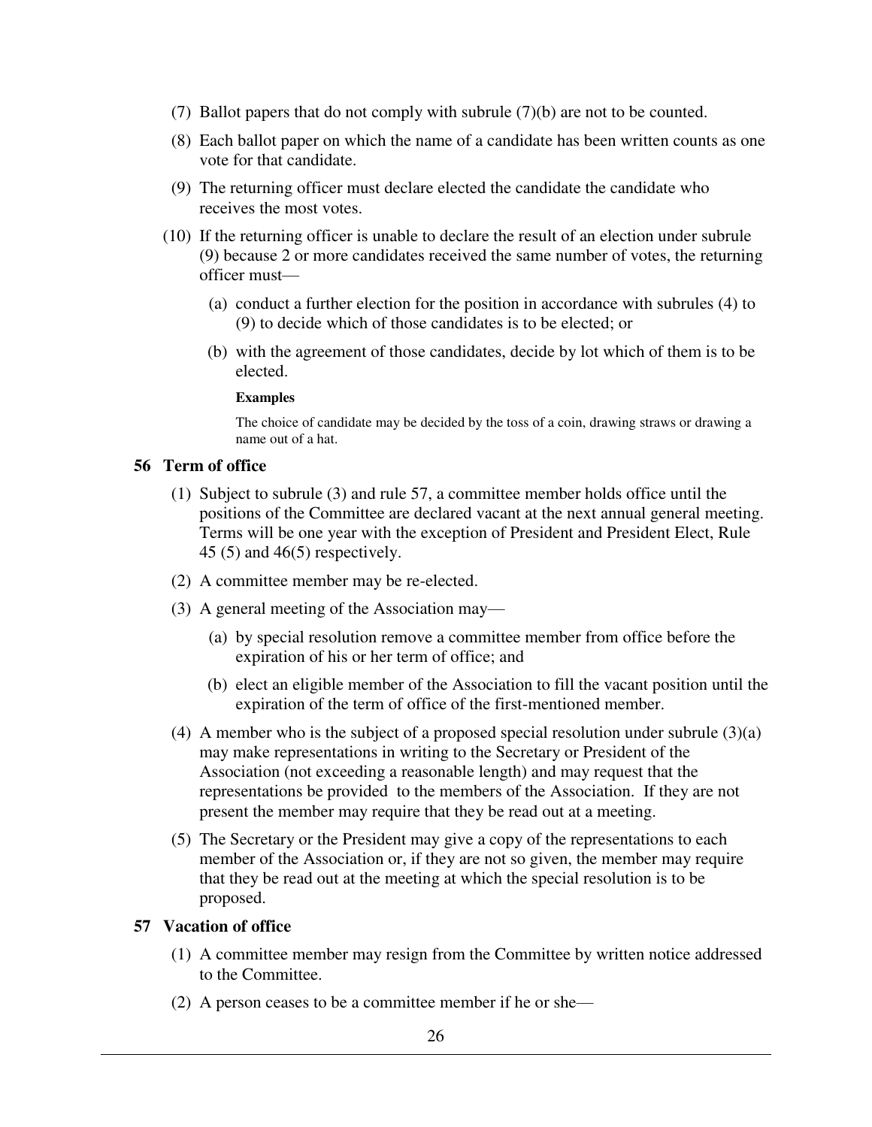- (7) Ballot papers that do not comply with subrule (7)(b) are not to be counted.
- (8) Each ballot paper on which the name of a candidate has been written counts as one vote for that candidate.
- (9) The returning officer must declare elected the candidate the candidate who receives the most votes.
- (10) If the returning officer is unable to declare the result of an election under subrule (9) because 2 or more candidates received the same number of votes, the returning officer must—
	- (a) conduct a further election for the position in accordance with subrules (4) to (9) to decide which of those candidates is to be elected; or
	- (b) with the agreement of those candidates, decide by lot which of them is to be elected.

#### **Examples**

The choice of candidate may be decided by the toss of a coin, drawing straws or drawing a name out of a hat.

# **56 Term of office**

- (1) Subject to subrule (3) and rule 57, a committee member holds office until the positions of the Committee are declared vacant at the next annual general meeting. Terms will be one year with the exception of President and President Elect, Rule 45 (5) and 46(5) respectively.
- (2) A committee member may be re-elected.
- (3) A general meeting of the Association may—
	- (a) by special resolution remove a committee member from office before the expiration of his or her term of office; and
	- (b) elect an eligible member of the Association to fill the vacant position until the expiration of the term of office of the first-mentioned member.
- (4) A member who is the subject of a proposed special resolution under subrule (3)(a) may make representations in writing to the Secretary or President of the Association (not exceeding a reasonable length) and may request that the representations be provided to the members of the Association. If they are not present the member may require that they be read out at a meeting.
- (5) The Secretary or the President may give a copy of the representations to each member of the Association or, if they are not so given, the member may require that they be read out at the meeting at which the special resolution is to be proposed.

# **57 Vacation of office**

- (1) A committee member may resign from the Committee by written notice addressed to the Committee.
- (2) A person ceases to be a committee member if he or she—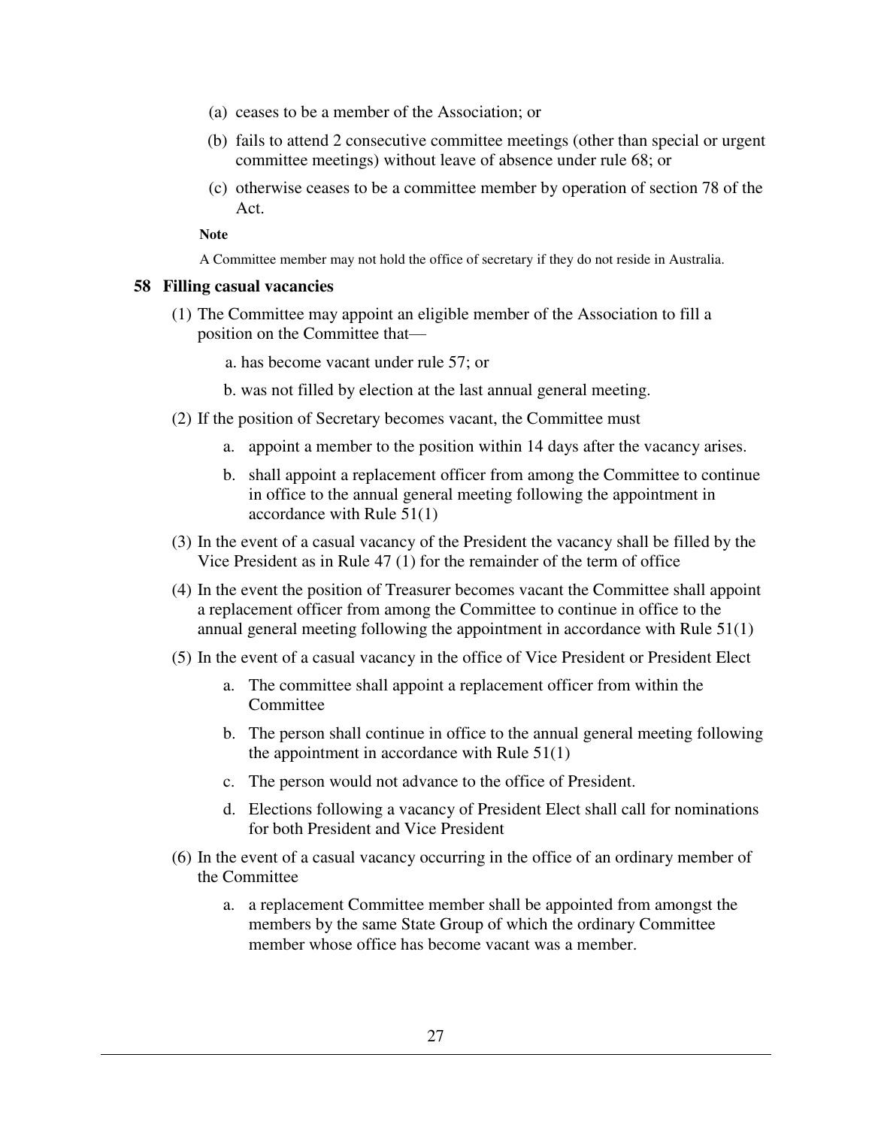- (a) ceases to be a member of the Association; or
- (b) fails to attend 2 consecutive committee meetings (other than special or urgent committee meetings) without leave of absence under rule 68; or
- (c) otherwise ceases to be a committee member by operation of section 78 of the Act.

**Note** 

A Committee member may not hold the office of secretary if they do not reside in Australia.

#### **58 Filling casual vacancies**

- (1) The Committee may appoint an eligible member of the Association to fill a position on the Committee that
	- a. has become vacant under rule 57; or
	- b. was not filled by election at the last annual general meeting.
- (2) If the position of Secretary becomes vacant, the Committee must
	- a. appoint a member to the position within 14 days after the vacancy arises.
	- b. shall appoint a replacement officer from among the Committee to continue in office to the annual general meeting following the appointment in accordance with Rule 51(1)
- (3) In the event of a casual vacancy of the President the vacancy shall be filled by the Vice President as in Rule 47 (1) for the remainder of the term of office
- (4) In the event the position of Treasurer becomes vacant the Committee shall appoint a replacement officer from among the Committee to continue in office to the annual general meeting following the appointment in accordance with Rule 51(1)
- (5) In the event of a casual vacancy in the office of Vice President or President Elect
	- a. The committee shall appoint a replacement officer from within the Committee
	- b. The person shall continue in office to the annual general meeting following the appointment in accordance with Rule 51(1)
	- c. The person would not advance to the office of President.
	- d. Elections following a vacancy of President Elect shall call for nominations for both President and Vice President
- (6) In the event of a casual vacancy occurring in the office of an ordinary member of the Committee
	- a. a replacement Committee member shall be appointed from amongst the members by the same State Group of which the ordinary Committee member whose office has become vacant was a member.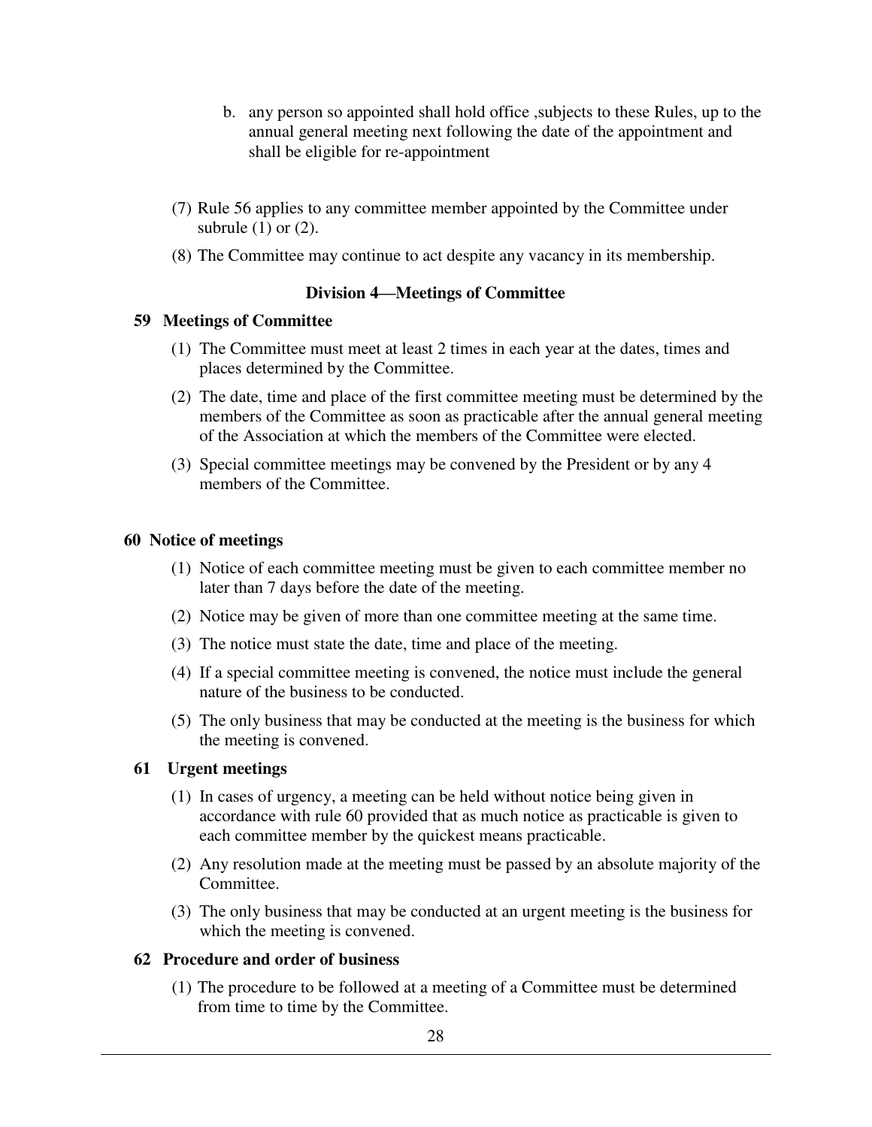- b. any person so appointed shall hold office ,subjects to these Rules, up to the annual general meeting next following the date of the appointment and shall be eligible for re-appointment
- (7) Rule 56 applies to any committee member appointed by the Committee under subrule  $(1)$  or  $(2)$ .
- (8) The Committee may continue to act despite any vacancy in its membership.

# **Division 4—Meetings of Committee**

# **59 Meetings of Committee**

- (1) The Committee must meet at least 2 times in each year at the dates, times and places determined by the Committee.
- (2) The date, time and place of the first committee meeting must be determined by the members of the Committee as soon as practicable after the annual general meeting of the Association at which the members of the Committee were elected.
- (3) Special committee meetings may be convened by the President or by any 4 members of the Committee.

# **60 Notice of meetings**

- (1) Notice of each committee meeting must be given to each committee member no later than 7 days before the date of the meeting.
- (2) Notice may be given of more than one committee meeting at the same time.
- (3) The notice must state the date, time and place of the meeting.
- (4) If a special committee meeting is convened, the notice must include the general nature of the business to be conducted.
- (5) The only business that may be conducted at the meeting is the business for which the meeting is convened.

# **61 Urgent meetings**

- (1) In cases of urgency, a meeting can be held without notice being given in accordance with rule 60 provided that as much notice as practicable is given to each committee member by the quickest means practicable.
- (2) Any resolution made at the meeting must be passed by an absolute majority of the Committee.
- (3) The only business that may be conducted at an urgent meeting is the business for which the meeting is convened.

# **62 Procedure and order of business**

(1) The procedure to be followed at a meeting of a Committee must be determined from time to time by the Committee.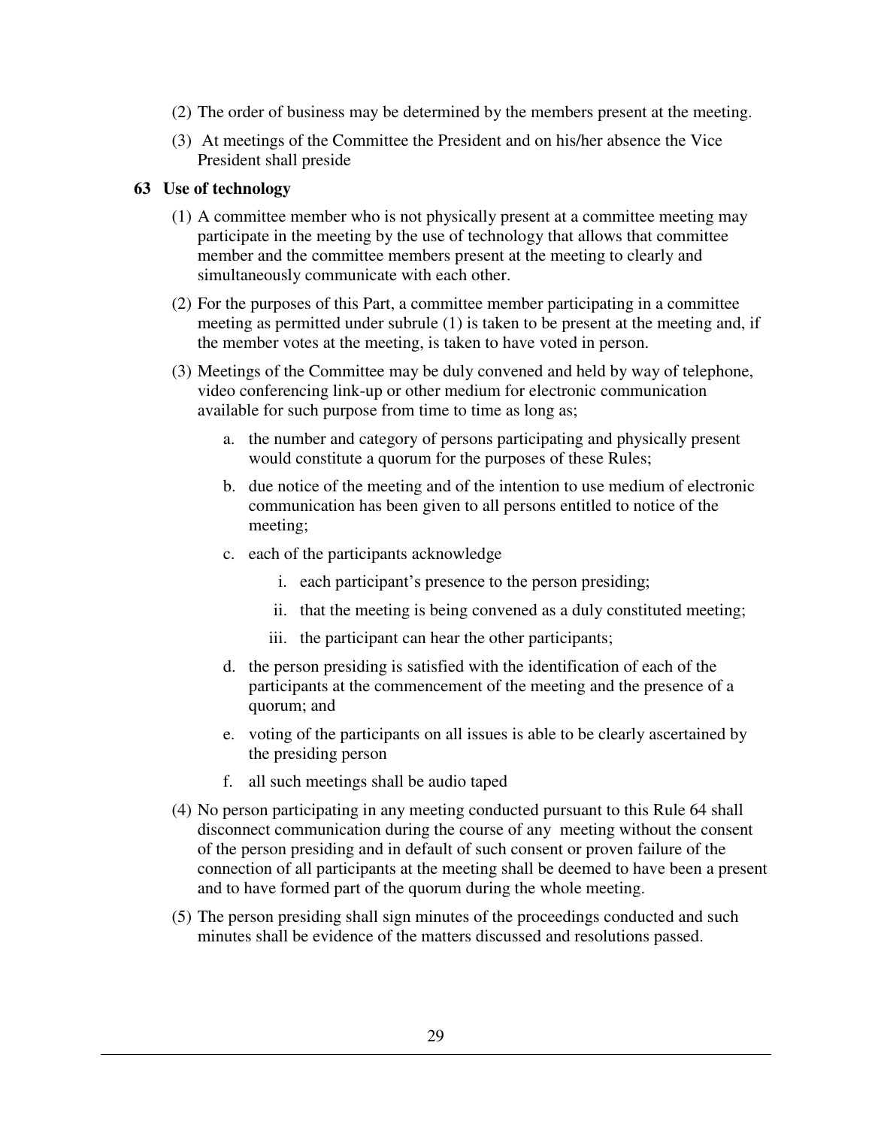- (2) The order of business may be determined by the members present at the meeting.
- (3) At meetings of the Committee the President and on his/her absence the Vice President shall preside

# **63 Use of technology**

- (1) A committee member who is not physically present at a committee meeting may participate in the meeting by the use of technology that allows that committee member and the committee members present at the meeting to clearly and simultaneously communicate with each other.
- (2) For the purposes of this Part, a committee member participating in a committee meeting as permitted under subrule (1) is taken to be present at the meeting and, if the member votes at the meeting, is taken to have voted in person.
- (3) Meetings of the Committee may be duly convened and held by way of telephone, video conferencing link-up or other medium for electronic communication available for such purpose from time to time as long as;
	- a. the number and category of persons participating and physically present would constitute a quorum for the purposes of these Rules;
	- b. due notice of the meeting and of the intention to use medium of electronic communication has been given to all persons entitled to notice of the meeting;
	- c. each of the participants acknowledge
		- i. each participant's presence to the person presiding;
		- ii. that the meeting is being convened as a duly constituted meeting;
		- iii. the participant can hear the other participants;
	- d. the person presiding is satisfied with the identification of each of the participants at the commencement of the meeting and the presence of a quorum; and
	- e. voting of the participants on all issues is able to be clearly ascertained by the presiding person
	- f. all such meetings shall be audio taped
- (4) No person participating in any meeting conducted pursuant to this Rule 64 shall disconnect communication during the course of any meeting without the consent of the person presiding and in default of such consent or proven failure of the connection of all participants at the meeting shall be deemed to have been a present and to have formed part of the quorum during the whole meeting.
- (5) The person presiding shall sign minutes of the proceedings conducted and such minutes shall be evidence of the matters discussed and resolutions passed.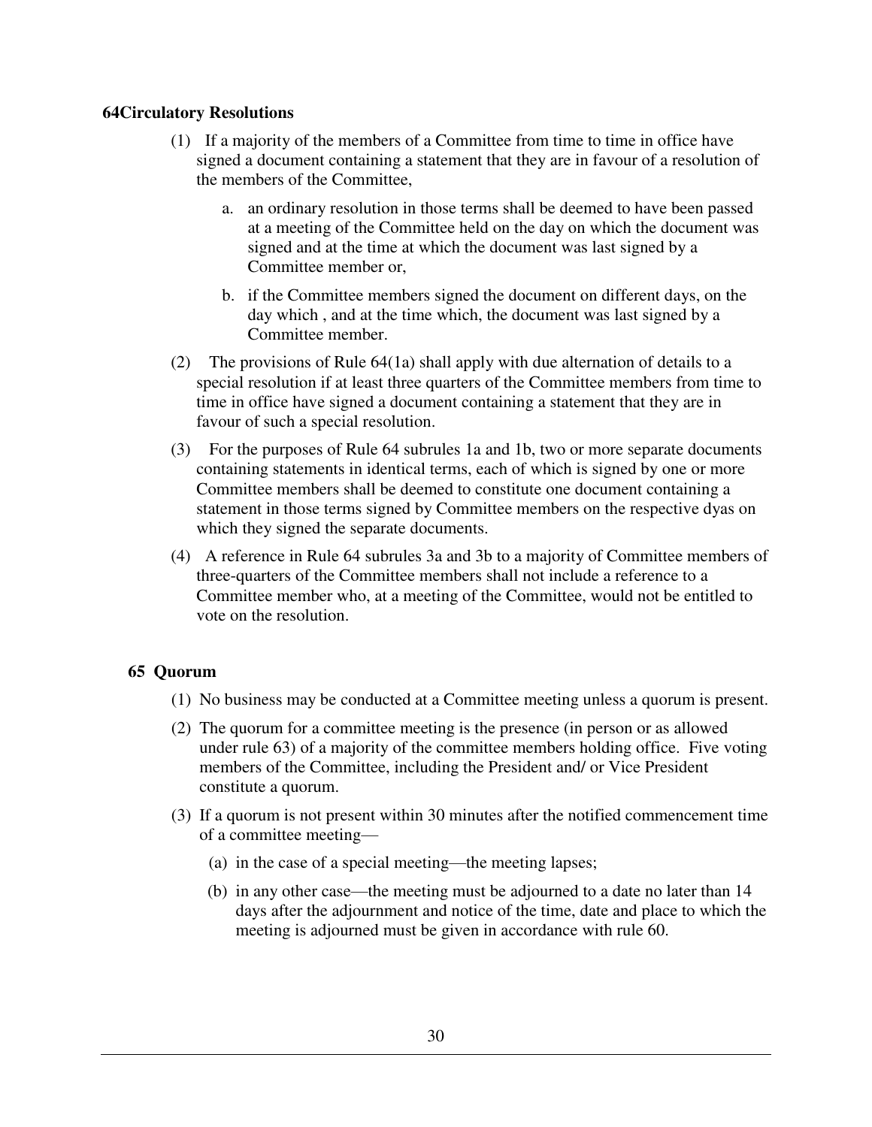# **64Circulatory Resolutions**

- (1) If a majority of the members of a Committee from time to time in office have signed a document containing a statement that they are in favour of a resolution of the members of the Committee,
	- a. an ordinary resolution in those terms shall be deemed to have been passed at a meeting of the Committee held on the day on which the document was signed and at the time at which the document was last signed by a Committee member or,
	- b. if the Committee members signed the document on different days, on the day which , and at the time which, the document was last signed by a Committee member.
- (2) The provisions of Rule 64(1a) shall apply with due alternation of details to a special resolution if at least three quarters of the Committee members from time to time in office have signed a document containing a statement that they are in favour of such a special resolution.
- (3) For the purposes of Rule 64 subrules 1a and 1b, two or more separate documents containing statements in identical terms, each of which is signed by one or more Committee members shall be deemed to constitute one document containing a statement in those terms signed by Committee members on the respective dyas on which they signed the separate documents.
- (4) A reference in Rule 64 subrules 3a and 3b to a majority of Committee members of three-quarters of the Committee members shall not include a reference to a Committee member who, at a meeting of the Committee, would not be entitled to vote on the resolution.

# **65 Quorum**

- (1) No business may be conducted at a Committee meeting unless a quorum is present.
- (2) The quorum for a committee meeting is the presence (in person or as allowed under rule 63) of a majority of the committee members holding office. Five voting members of the Committee, including the President and/ or Vice President constitute a quorum.
- (3) If a quorum is not present within 30 minutes after the notified commencement time of a committee meeting—
	- (a) in the case of a special meeting—the meeting lapses;
	- (b) in any other case—the meeting must be adjourned to a date no later than 14 days after the adjournment and notice of the time, date and place to which the meeting is adjourned must be given in accordance with rule 60.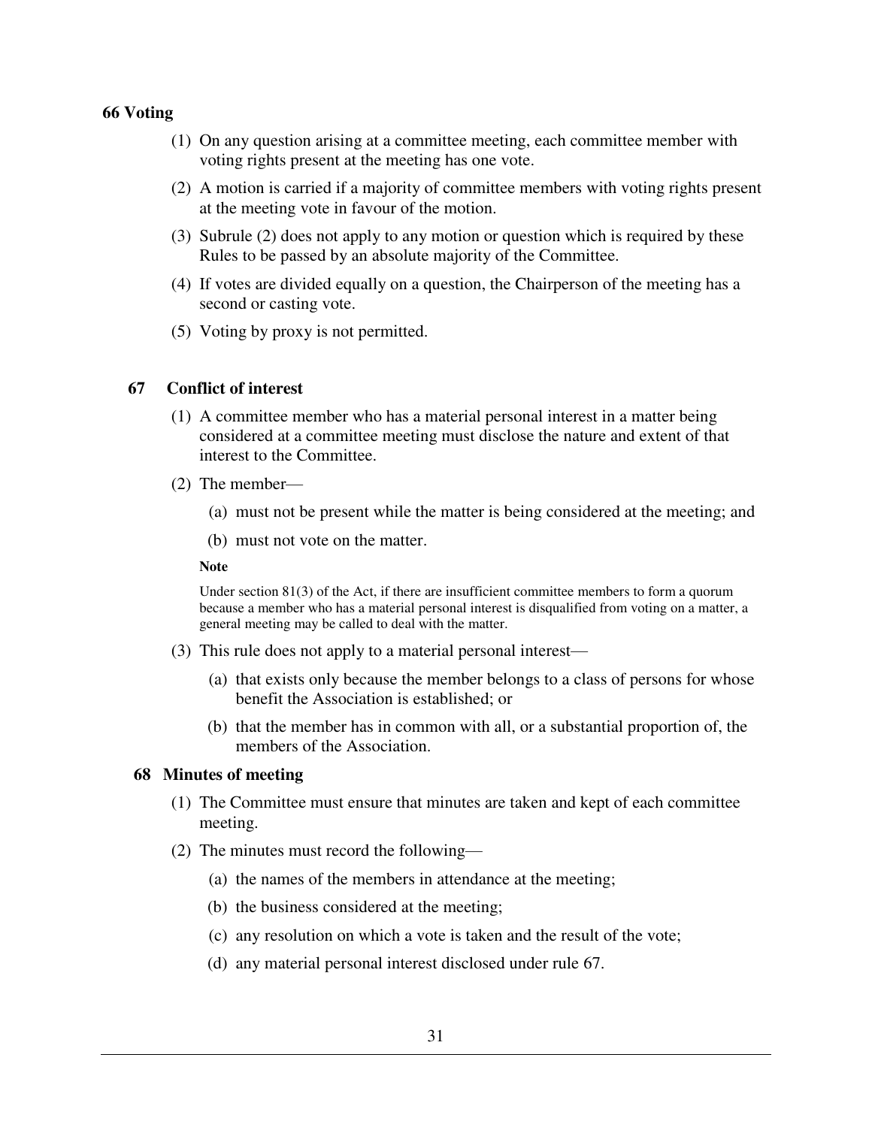### **66 Voting**

- (1) On any question arising at a committee meeting, each committee member with voting rights present at the meeting has one vote.
- (2) A motion is carried if a majority of committee members with voting rights present at the meeting vote in favour of the motion.
- (3) Subrule (2) does not apply to any motion or question which is required by these Rules to be passed by an absolute majority of the Committee.
- (4) If votes are divided equally on a question, the Chairperson of the meeting has a second or casting vote.
- (5) Voting by proxy is not permitted.

# **67 Conflict of interest**

- (1) A committee member who has a material personal interest in a matter being considered at a committee meeting must disclose the nature and extent of that interest to the Committee.
- (2) The member—
	- (a) must not be present while the matter is being considered at the meeting; and
	- (b) must not vote on the matter.

#### **Note**

Under section 81(3) of the Act, if there are insufficient committee members to form a quorum because a member who has a material personal interest is disqualified from voting on a matter, a general meeting may be called to deal with the matter.

- (3) This rule does not apply to a material personal interest—
	- (a) that exists only because the member belongs to a class of persons for whose benefit the Association is established; or
	- (b) that the member has in common with all, or a substantial proportion of, the members of the Association.

### **68 Minutes of meeting**

- (1) The Committee must ensure that minutes are taken and kept of each committee meeting.
- (2) The minutes must record the following—
	- (a) the names of the members in attendance at the meeting;
	- (b) the business considered at the meeting;
	- (c) any resolution on which a vote is taken and the result of the vote;
	- (d) any material personal interest disclosed under rule 67.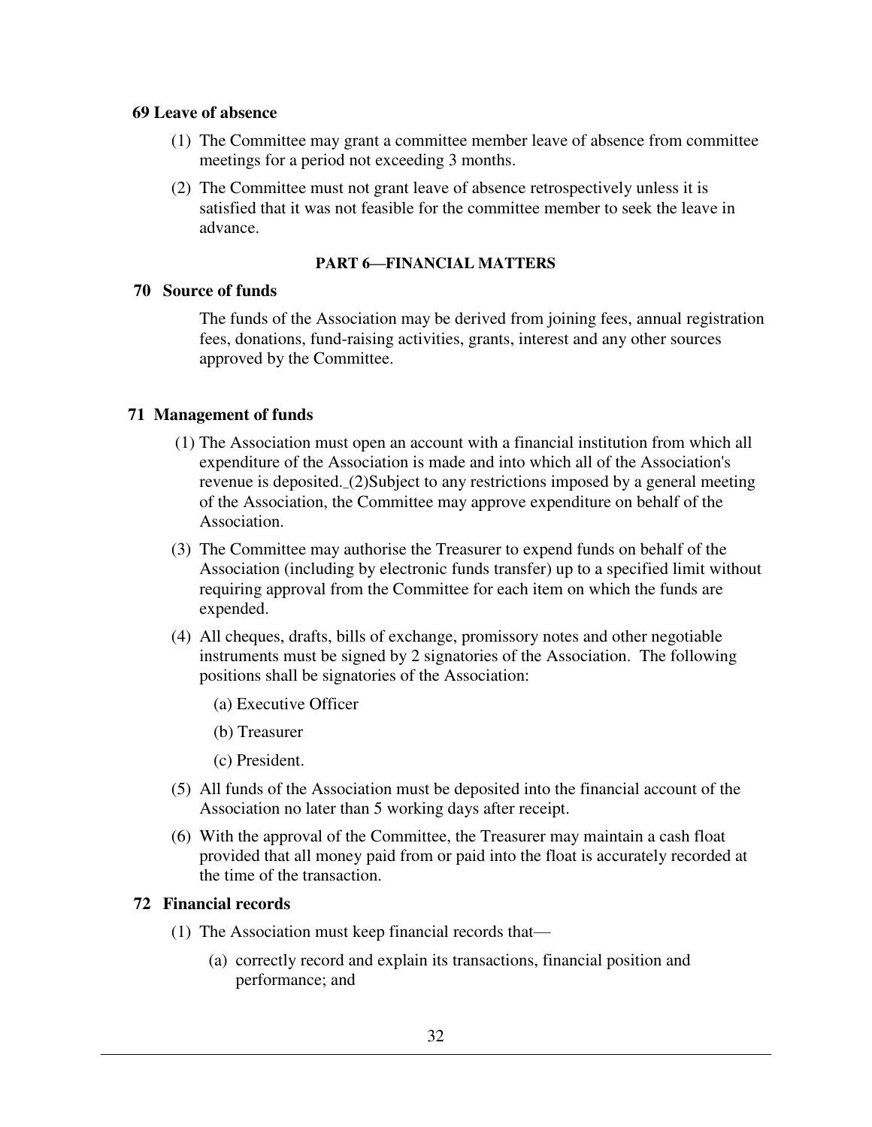### **69 Leave of absence**

- (1) The Committee may grant a committee member leave of absence from committee meetings for a period not exceeding 3 months.
- (2) The Committee must not grant leave of absence retrospectively unless it is satisfied that it was not feasible for the committee member to seek the leave in advance.

### **PART 6—FINANCIAL MATTERS**

# **70 Source of funds**

The funds of the Association may be derived from joining fees, annual registration fees, donations, fund-raising activities, grants, interest and any other sources approved by the Committee.

# **71 Management of funds**

- (1) The Association must open an account with a financial institution from which all expenditure of the Association is made and into which all of the Association's revenue is deposited.\_(2)Subject to any restrictions imposed by a general meeting of the Association, the Committee may approve expenditure on behalf of the Association.
- (3) The Committee may authorise the Treasurer to expend funds on behalf of the Association (including by electronic funds transfer) up to a specified limit without requiring approval from the Committee for each item on which the funds are expended.
- (4) All cheques, drafts, bills of exchange, promissory notes and other negotiable instruments must be signed by 2 signatories of the Association. The following positions shall be signatories of the Association:
	- (a) Executive Officer
	- (b) Treasurer
	- (c) President.
- (5) All funds of the Association must be deposited into the financial account of the Association no later than 5 working days after receipt.
- (6) With the approval of the Committee, the Treasurer may maintain a cash float provided that all money paid from or paid into the float is accurately recorded at the time of the transaction.

# **72 Financial records**

- (1) The Association must keep financial records that—
	- (a) correctly record and explain its transactions, financial position and performance; and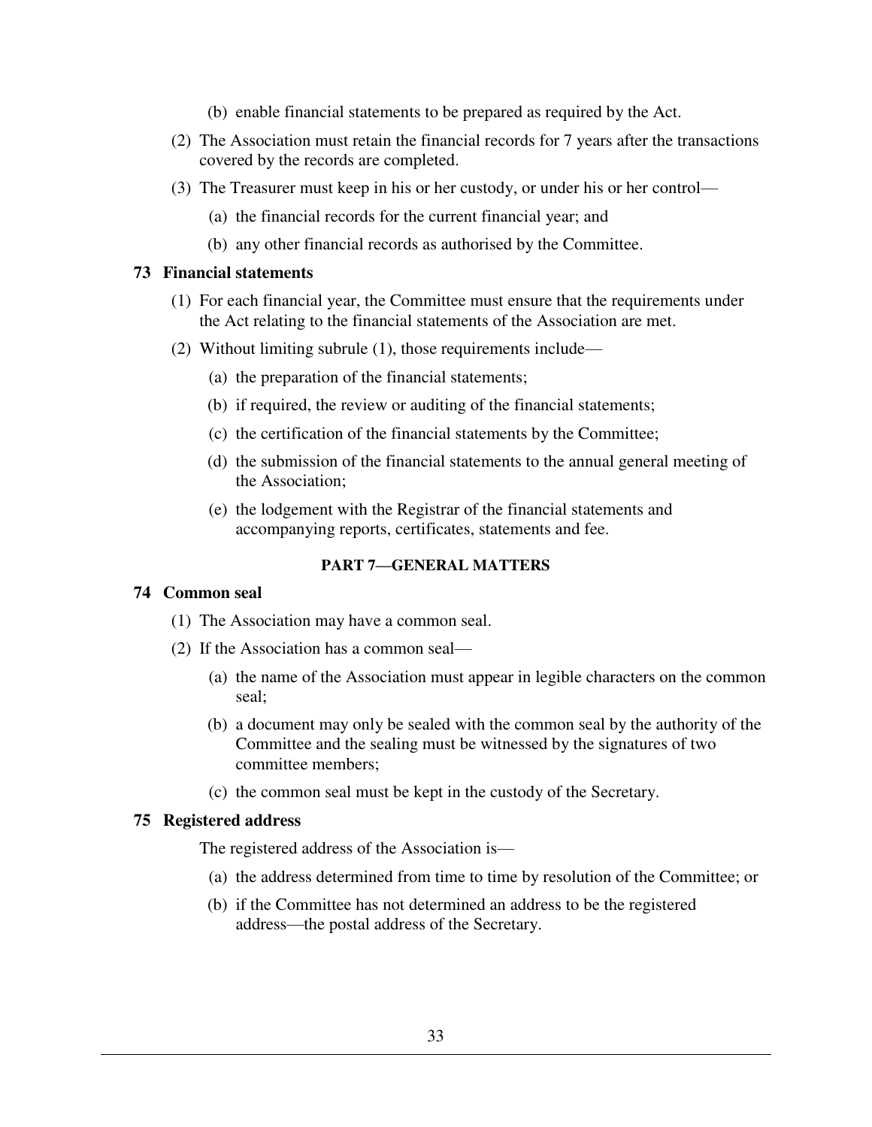- (b) enable financial statements to be prepared as required by the Act.
- (2) The Association must retain the financial records for 7 years after the transactions covered by the records are completed.
- (3) The Treasurer must keep in his or her custody, or under his or her control—
	- (a) the financial records for the current financial year; and
	- (b) any other financial records as authorised by the Committee.

# **73 Financial statements**

- (1) For each financial year, the Committee must ensure that the requirements under the Act relating to the financial statements of the Association are met.
- (2) Without limiting subrule (1), those requirements include—
	- (a) the preparation of the financial statements;
	- (b) if required, the review or auditing of the financial statements;
	- (c) the certification of the financial statements by the Committee;
	- (d) the submission of the financial statements to the annual general meeting of the Association;
	- (e) the lodgement with the Registrar of the financial statements and accompanying reports, certificates, statements and fee.

# **PART 7—GENERAL MATTERS**

#### **74 Common seal**

- (1) The Association may have a common seal.
- (2) If the Association has a common seal—
	- (a) the name of the Association must appear in legible characters on the common seal;
	- (b) a document may only be sealed with the common seal by the authority of the Committee and the sealing must be witnessed by the signatures of two committee members;
	- (c) the common seal must be kept in the custody of the Secretary.

#### **75 Registered address**

The registered address of the Association is—

- (a) the address determined from time to time by resolution of the Committee; or
- (b) if the Committee has not determined an address to be the registered address—the postal address of the Secretary.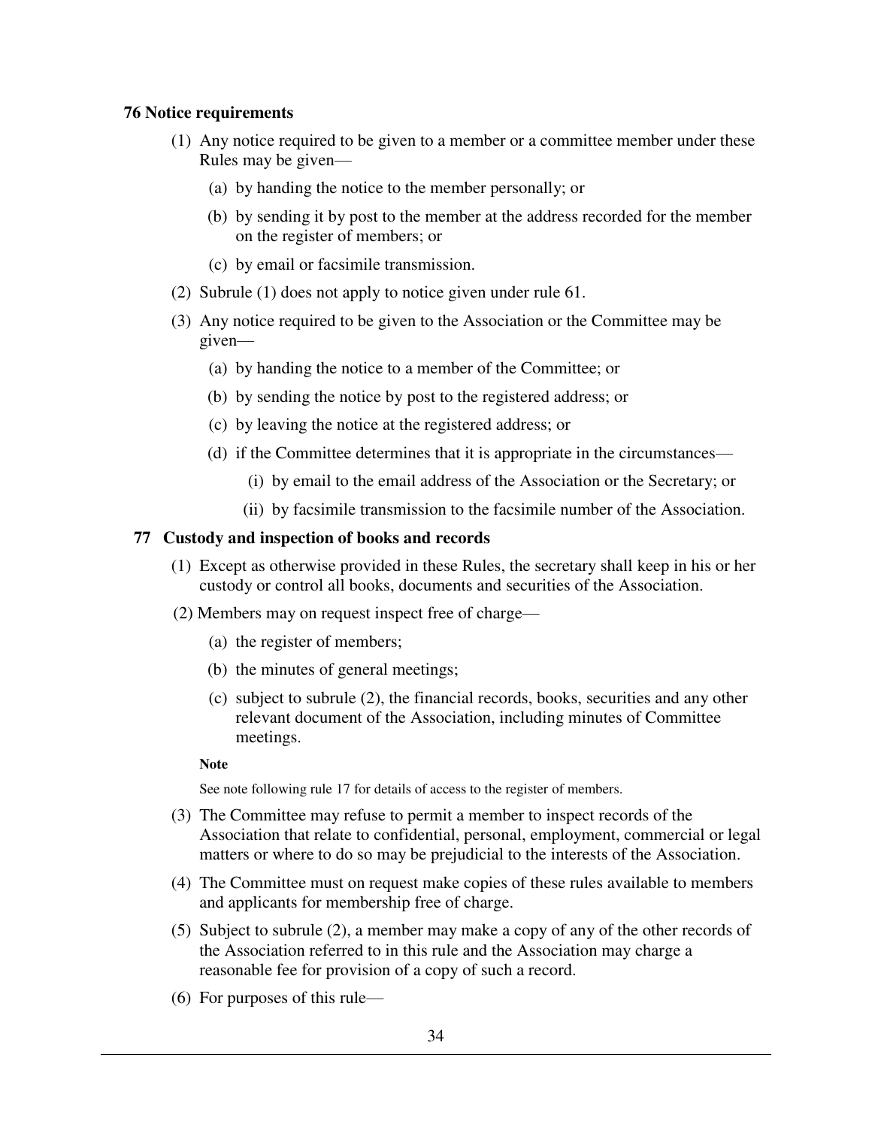# **76 Notice requirements**

- (1) Any notice required to be given to a member or a committee member under these Rules may be given—
	- (a) by handing the notice to the member personally; or
	- (b) by sending it by post to the member at the address recorded for the member on the register of members; or
	- (c) by email or facsimile transmission.
- (2) Subrule (1) does not apply to notice given under rule 61.
- (3) Any notice required to be given to the Association or the Committee may be given—
	- (a) by handing the notice to a member of the Committee; or
	- (b) by sending the notice by post to the registered address; or
	- (c) by leaving the notice at the registered address; or
	- (d) if the Committee determines that it is appropriate in the circumstances—
		- (i) by email to the email address of the Association or the Secretary; or
		- (ii) by facsimile transmission to the facsimile number of the Association.

### **77 Custody and inspection of books and records**

- (1) Except as otherwise provided in these Rules, the secretary shall keep in his or her custody or control all books, documents and securities of the Association.
- (2) Members may on request inspect free of charge—
	- (a) the register of members;
	- (b) the minutes of general meetings;
	- (c) subject to subrule (2), the financial records, books, securities and any other relevant document of the Association, including minutes of Committee meetings.

#### **Note**

See note following rule 17 for details of access to the register of members.

- (3) The Committee may refuse to permit a member to inspect records of the Association that relate to confidential, personal, employment, commercial or legal matters or where to do so may be prejudicial to the interests of the Association.
- (4) The Committee must on request make copies of these rules available to members and applicants for membership free of charge.
- (5) Subject to subrule (2), a member may make a copy of any of the other records of the Association referred to in this rule and the Association may charge a reasonable fee for provision of a copy of such a record.
- (6) For purposes of this rule—